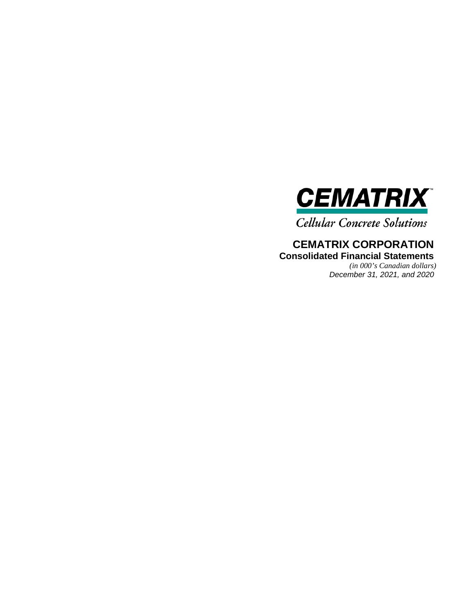

**Cellular Concrete Solutions** 

# **CEMATRIX CORPORATION Consolidated Financial Statements**

*(in 000's Canadian dollars) December 31, 2021, and 2020*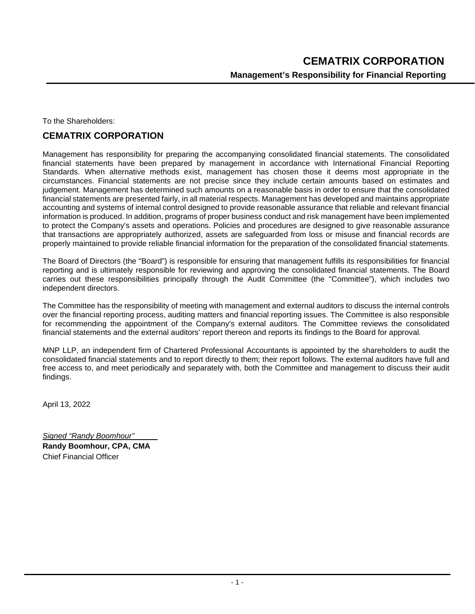To the Shareholders:

# **CEMATRIX CORPORATION**

Management has responsibility for preparing the accompanying consolidated financial statements. The consolidated financial statements have been prepared by management in accordance with International Financial Reporting Standards. When alternative methods exist, management has chosen those it deems most appropriate in the circumstances. Financial statements are not precise since they include certain amounts based on estimates and judgement. Management has determined such amounts on a reasonable basis in order to ensure that the consolidated financial statements are presented fairly, in all material respects. Management has developed and maintains appropriate accounting and systems of internal control designed to provide reasonable assurance that reliable and relevant financial information is produced. In addition, programs of proper business conduct and risk management have been implemented to protect the Company's assets and operations. Policies and procedures are designed to give reasonable assurance that transactions are appropriately authorized, assets are safeguarded from loss or misuse and financial records are properly maintained to provide reliable financial information for the preparation of the consolidated financial statements.

The Board of Directors (the "Board") is responsible for ensuring that management fulfills its responsibilities for financial reporting and is ultimately responsible for reviewing and approving the consolidated financial statements. The Board carries out these responsibilities principally through the Audit Committee (the "Committee"), which includes two independent directors.

The Committee has the responsibility of meeting with management and external auditors to discuss the internal controls over the financial reporting process, auditing matters and financial reporting issues. The Committee is also responsible for recommending the appointment of the Company's external auditors. The Committee reviews the consolidated financial statements and the external auditors' report thereon and reports its findings to the Board for approval.

MNP LLP, an independent firm of Chartered Professional Accountants is appointed by the shareholders to audit the consolidated financial statements and to report directly to them; their report follows. The external auditors have full and free access to, and meet periodically and separately with, both the Committee and management to discuss their audit findings.

April 13, 2022

| Signed "Randy Boomhour"         |
|---------------------------------|
| <b>Randy Boomhour, CPA, CMA</b> |
| <b>Chief Financial Officer</b>  |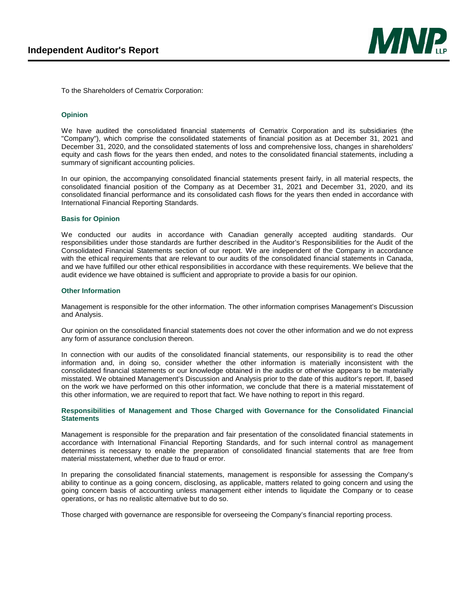

To the Shareholders of Cematrix Corporation:

#### **Opinion**

We have audited the consolidated financial statements of Cematrix Corporation and its subsidiaries (the "Company"), which comprise the consolidated statements of financial position as at December 31, 2021 and December 31, 2020, and the consolidated statements of loss and comprehensive loss, changes in shareholders' equity and cash flows for the years then ended, and notes to the consolidated financial statements, including a summary of significant accounting policies.

In our opinion, the accompanying consolidated financial statements present fairly, in all material respects, the consolidated financial position of the Company as at December 31, 2021 and December 31, 2020, and its consolidated financial performance and its consolidated cash flows for the years then ended in accordance with International Financial Reporting Standards.

#### **Basis for Opinion**

We conducted our audits in accordance with Canadian generally accepted auditing standards. Our responsibilities under those standards are further described in the Auditor's Responsibilities for the Audit of the Consolidated Financial Statements section of our report. We are independent of the Company in accordance with the ethical requirements that are relevant to our audits of the consolidated financial statements in Canada, and we have fulfilled our other ethical responsibilities in accordance with these requirements. We believe that the audit evidence we have obtained is sufficient and appropriate to provide a basis for our opinion.

#### **Other Information**

Management is responsible for the other information. The other information comprises Management's Discussion and Analysis.

Our opinion on the consolidated financial statements does not cover the other information and we do not express any form of assurance conclusion thereon.

In connection with our audits of the consolidated financial statements, our responsibility is to read the other information and, in doing so, consider whether the other information is materially inconsistent with the consolidated financial statements or our knowledge obtained in the audits or otherwise appears to be materially misstated. We obtained Management's Discussion and Analysis prior to the date of this auditor's report. If, based on the work we have performed on this other information, we conclude that there is a material misstatement of this other information, we are required to report that fact. We have nothing to report in this regard.

#### **Responsibilities of Management and Those Charged with Governance for the Consolidated Financial Statements**

Management is responsible for the preparation and fair presentation of the consolidated financial statements in accordance with International Financial Reporting Standards, and for such internal control as management determines is necessary to enable the preparation of consolidated financial statements that are free from material misstatement, whether due to fraud or error.

In preparing the consolidated financial statements, management is responsible for assessing the Company's ability to continue as a going concern, disclosing, as applicable, matters related to going concern and using the going concern basis of accounting unless management either intends to liquidate the Company or to cease operations, or has no realistic alternative but to do so.

Those charged with governance are responsible for overseeing the Company's financial reporting process.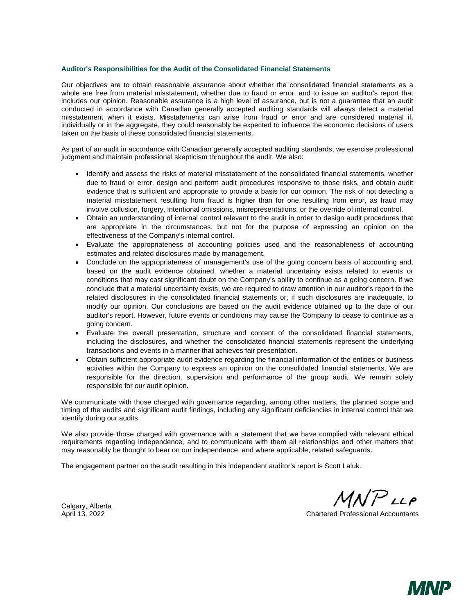#### **Auditor's Responsibilities for the Audit of the Consolidated Financial Statements**

Our objectives are to obtain reasonable assurance about whether the consolidated financial statements as a whole are free from material misstatement, whether due to fraud or error, and to issue an auditor's report that includes our opinion. Reasonable assurance is a high level of assurance, but is not a guarantee that an audit conducted in accordance with Canadian generally accepted auditing standards will always detect a material misstatement when it exists. Misstatements can arise from fraud or error and are considered material if, individually or in the aggregate, they could reasonably be expected to influence the economic decisions of users taken on the basis of these consolidated financial statements.

As part of an audit in accordance with Canadian generally accepted auditing standards, we exercise professional judgment and maintain professional skepticism throughout the audit. We also:

- Identify and assess the risks of material misstatement of the consolidated financial statements, whether due to fraud or error, design and perform audit procedures responsive to those risks, and obtain audit evidence that is sufficient and appropriate to provide a basis for our opinion. The risk of not detecting a material misstatement resulting from fraud is higher than for one resulting from error, as fraud may involve collusion, forgery, intentional omissions, misrepresentations, or the override of internal control.
- Obtain an understanding of internal control relevant to the audit in order to design audit procedures that are appropriate in the circumstances, but not for the purpose of expressing an opinion on the effectiveness of the Company's internal control.
- Evaluate the appropriateness of accounting policies used and the reasonableness of accounting estimates and related disclosures made by management.
- Conclude on the appropriateness of management's use of the going concern basis of accounting and, based on the audit evidence obtained, whether a material uncertainty exists related to events or conditions that may cast significant doubt on the Company's ability to continue as a going concern. If we conclude that a material uncertainty exists, we are required to draw attention in our auditor's report to the related disclosures in the consolidated financial statements or, if such disclosures are inadequate, to modify our opinion. Our conclusions are based on the audit evidence obtained up to the date of our auditor's report. However, future events or conditions may cause the Company to cease to continue as a going concern.
- Evaluate the overall presentation, structure and content of the consolidated financial statements, including the disclosures, and whether the consolidated financial statements represent the underlying transactions and events in a manner that achieves fair presentation.
- Obtain sufficient appropriate audit evidence regarding the financial information of the entities or business activities within the Company to express an opinion on the consolidated financial statements. We are responsible for the direction, supervision and performance of the group audit. We remain solely responsible for our audit opinion.

We communicate with those charged with governance regarding, among other matters, the planned scope and timing of the audits and significant audit findings, including any significant deficiencies in internal control that we identify during our audits.

We also provide those charged with governance with a statement that we have complied with relevant ethical requirements regarding independence, and to communicate with them all relationships and other matters that may reasonably be thought to bear on our independence, and where applicable, related safeguards.

The engagement partner on the audit resulting in this independent auditor's report is Scott Laluk.

 $MNP$ LLP

April 13, 2022 Chartered Professional Accountants

Calgary, Alberta

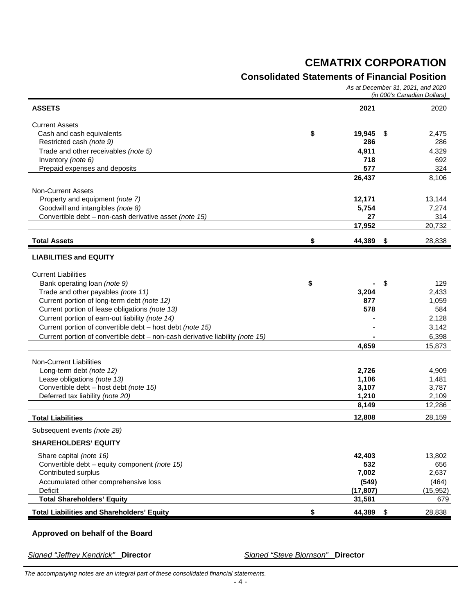## **Consolidated Statements of Financial Position**

*As at December 31, 2021, and 2020 (in 000's Canadian Dollars)*

| <b>ASSETS</b>                                                                                     | 2021                |     | 2020             |
|---------------------------------------------------------------------------------------------------|---------------------|-----|------------------|
| <b>Current Assets</b>                                                                             |                     |     |                  |
| Cash and cash equivalents<br>Restricted cash (note 9)                                             | \$<br>19,945<br>286 | \$  | 2,475<br>286     |
| Trade and other receivables (note 5)                                                              | 4,911               |     | 4,329            |
| Inventory (note 6)                                                                                | 718                 |     | 692              |
| Prepaid expenses and deposits                                                                     | 577                 |     | 324              |
|                                                                                                   | 26,437              |     | 8,106            |
| <b>Non-Current Assets</b>                                                                         |                     |     |                  |
| Property and equipment (note 7)                                                                   | 12,171              |     | 13,144           |
| Goodwill and intangibles (note 8)                                                                 | 5,754               |     | 7,274            |
| Convertible debt - non-cash derivative asset (note 15)                                            | 27                  |     | 314              |
|                                                                                                   | 17,952              |     | 20,732           |
| <b>Total Assets</b>                                                                               | \$<br>44,389        | -\$ | 28,838           |
| <b>LIABILITIES and EQUITY</b>                                                                     |                     |     |                  |
| <b>Current Liabilities</b>                                                                        |                     |     |                  |
| Bank operating loan (note 9)                                                                      | \$                  | \$  | 129              |
| Trade and other payables (note 11)                                                                | 3,204               |     | 2,433            |
| Current portion of long-term debt (note 12)                                                       | 877                 |     | 1,059            |
| Current portion of lease obligations (note 13)<br>Current portion of earn-out liability (note 14) | 578                 |     | 584<br>2,128     |
| Current portion of convertible debt - host debt (note 15)                                         |                     |     | 3,142            |
| Current portion of convertible debt - non-cash derivative liability (note 15)                     |                     |     | 6,398            |
|                                                                                                   | 4,659               |     | 15,873           |
|                                                                                                   |                     |     |                  |
| <b>Non-Current Liabilities</b><br>Long-term debt (note 12)                                        | 2,726               |     | 4,909            |
| Lease obligations (note 13)                                                                       | 1,106               |     | 1,481            |
| Convertible debt - host debt (note 15)                                                            | 3,107               |     | 3,787            |
| Deferred tax liability (note 20)                                                                  | 1,210               |     | 2,109            |
|                                                                                                   | 8,149               |     | 12,286           |
| <b>Total Liabilities</b>                                                                          | 12,808              |     | 28,159           |
| Subsequent events (note 28)                                                                       |                     |     |                  |
| <b>SHAREHOLDERS' EQUITY</b>                                                                       |                     |     |                  |
| Share capital (note 16)                                                                           | 42,403              |     | 13,802           |
| Convertible debt - equity component (note 15)                                                     | 532                 |     | 656              |
| Contributed surplus                                                                               | 7,002               |     | 2,637            |
| Accumulated other comprehensive loss                                                              | (549)               |     | (464)            |
| Deficit<br><b>Total Shareholders' Equity</b>                                                      | (17, 807)<br>31,581 |     | (15, 952)<br>679 |
|                                                                                                   |                     |     |                  |
| <b>Total Liabilities and Shareholders' Equity</b>                                                 | \$<br>44,389        | \$  | 28,838           |
|                                                                                                   |                     |     |                  |

## **Approved on behalf of the Board**

*Signed "Jeffrey Kendrick"* **Director** *Signed "Steve Bjornson"* **Director**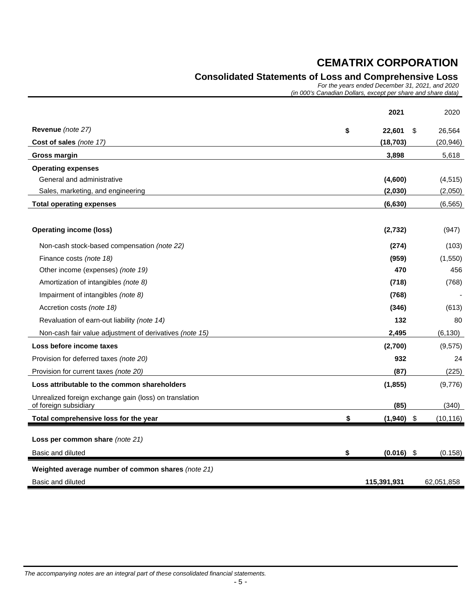## **Consolidated Statements of Loss and Comprehensive Loss**

*For the years ended December 31, 2021, and 2020 (in 000's Canadian Dollars, except per share and share data)*

|                                                                                 | 2021               | 2020         |
|---------------------------------------------------------------------------------|--------------------|--------------|
| Revenue (note 27)                                                               | \$<br>22,601       | \$<br>26,564 |
| Cost of sales (note 17)                                                         | (18, 703)          | (20, 946)    |
| Gross margin                                                                    | 3,898              | 5,618        |
| <b>Operating expenses</b>                                                       |                    |              |
| General and administrative                                                      | (4,600)            | (4, 515)     |
| Sales, marketing, and engineering                                               | (2,030)            | (2,050)      |
| <b>Total operating expenses</b>                                                 | (6, 630)           | (6, 565)     |
|                                                                                 |                    |              |
| <b>Operating income (loss)</b>                                                  | (2,732)            | (947)        |
| Non-cash stock-based compensation (note 22)                                     | (274)              | (103)        |
| Finance costs (note 18)                                                         | (959)              | (1,550)      |
| Other income (expenses) (note 19)                                               | 470                | 456          |
| Amortization of intangibles (note 8)                                            | (718)              | (768)        |
| Impairment of intangibles (note 8)                                              | (768)              |              |
| Accretion costs (note 18)                                                       | (346)              | (613)        |
| Revaluation of earn-out liability (note 14)                                     | 132                | 80           |
| Non-cash fair value adjustment of derivatives (note 15)                         | 2,495              | (6, 130)     |
| Loss before income taxes                                                        | (2,700)            | (9,575)      |
| Provision for deferred taxes (note 20)                                          | 932                | 24           |
| Provision for current taxes (note 20)                                           | (87)               | (225)        |
| Loss attributable to the common shareholders                                    | (1, 855)           | (9,776)      |
| Unrealized foreign exchange gain (loss) on translation<br>of foreign subsidiary | (85)               | (340)        |
| Total comprehensive loss for the year                                           | \$<br>$(1,940)$ \$ | (10, 116)    |
| Loss per common share (note 21)                                                 |                    |              |
| Basic and diluted                                                               | \$<br>$(0.016)$ \$ | (0.158)      |
| Weighted average number of common shares (note 21)                              |                    |              |
| Basic and diluted                                                               | 115,391,931        | 62,051,858   |

*The accompanying notes are an integral part of these consolidated financial statements.*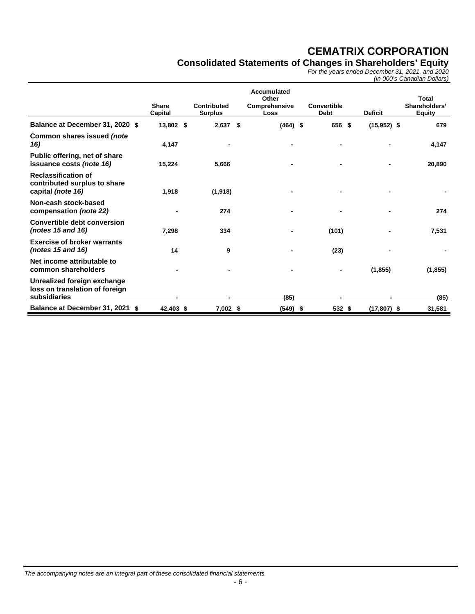## **Consolidated Statements of Changes in Shareholders' Equity**

*For the years ended December 31, 2021, and 2020*

*(in 000's Canadian Dollars)*

|                                                                                 | <b>Share</b><br>Capital | Contributed<br><b>Surplus</b> | Accumulated<br>Other<br>Comprehensive<br>Loss | Convertible<br><b>Debt</b> | <b>Deficit</b> | Total<br>Shareholders'<br><b>Equity</b> |
|---------------------------------------------------------------------------------|-------------------------|-------------------------------|-----------------------------------------------|----------------------------|----------------|-----------------------------------------|
| Balance at December 31, 2020 \$                                                 | 13,802 \$               | 2,637                         | \$<br>$(464)$ \$                              | 656 \$                     | $(15,952)$ \$  | 679                                     |
| Common shares issued (note<br>16)                                               | 4,147                   |                               |                                               |                            |                | 4,147                                   |
| Public offering, net of share<br>issuance costs (note 16)                       | 15,224                  | 5,666                         |                                               |                            |                | 20,890                                  |
| <b>Reclassification of</b><br>contributed surplus to share<br>capital (note 16) | 1,918                   | (1,918)                       |                                               |                            |                |                                         |
| Non-cash stock-based<br>compensation (note 22)                                  |                         | 274                           |                                               |                            |                | 274                                     |
| <b>Convertible debt conversion</b><br>(notes $15$ and $16$ )                    | 7,298                   | 334                           |                                               | (101)                      |                | 7,531                                   |
| <b>Exercise of broker warrants</b><br>(notes $15$ and $16$ )                    | 14                      | 9                             |                                               | (23)                       |                |                                         |
| Net income attributable to<br>common shareholders                               |                         |                               |                                               |                            | (1, 855)       | (1, 855)                                |
| Unrealized foreign exchange<br>loss on translation of foreign<br>subsidiaries   |                         |                               | (85)                                          |                            |                | (85)                                    |
| Balance at December 31, 2021 \$                                                 | 42,403 \$               | $7,002$ \$                    | $(549)$ \$                                    | 532 \$                     | $(17,807)$ \$  | 31,581                                  |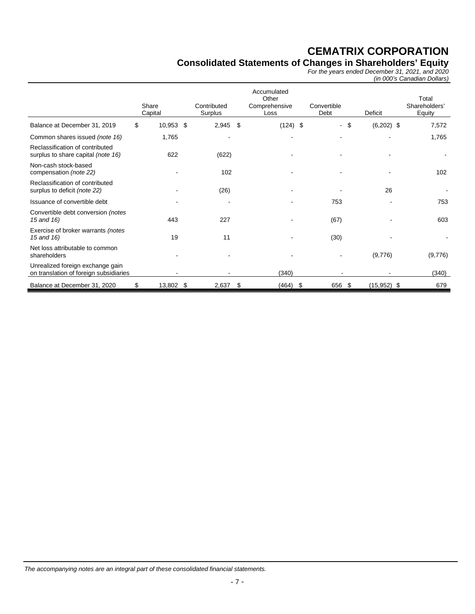## **Consolidated Statements of Changes in Shareholders' Equity**

*For the years ended December 31, 2021, and 2020*

*(in 000's Canadian Dollars)*

|                                                                            | Share<br>Capital | Contributed<br>Surplus | Accumulated<br>Other<br>Comprehensive<br>Loss | Convertible<br>Debt | Deficit       | Total<br>Shareholders'<br>Equity |
|----------------------------------------------------------------------------|------------------|------------------------|-----------------------------------------------|---------------------|---------------|----------------------------------|
| Balance at December 31, 2019                                               | \$<br>10,953 \$  | 2,945                  | \$<br>$(124)$ \$                              | \$<br>$\sim$        | $(6,202)$ \$  | 7,572                            |
| Common shares issued (note 16)                                             | 1,765            |                        |                                               |                     |               | 1,765                            |
| Reclassification of contributed<br>surplus to share capital (note 16)      | 622              | (622)                  |                                               |                     |               |                                  |
| Non-cash stock-based<br>compensation (note 22)                             |                  | 102                    |                                               |                     |               | 102                              |
| Reclassification of contributed<br>surplus to deficit (note 22)            |                  | (26)                   |                                               |                     | 26            |                                  |
| Issuance of convertible debt                                               |                  |                        |                                               | 753                 |               | 753                              |
| Convertible debt conversion (notes<br>15 and 16)                           | 443              | 227                    |                                               | (67)                |               | 603                              |
| Exercise of broker warrants (notes<br>15 and 16)                           | 19               | 11                     |                                               | (30)                |               |                                  |
| Net loss attributable to common<br>shareholders                            |                  |                        |                                               |                     | (9,776)       | (9,776)                          |
| Unrealized foreign exchange gain<br>on translation of foreign subsidiaries |                  |                        | (340)                                         |                     |               | (340)                            |
| Balance at December 31, 2020                                               | \$<br>13,802 \$  | 2,637                  | \$<br>$(464)$ \$                              | 656<br>\$           | $(15,952)$ \$ | 679                              |

*The accompanying notes are an integral part of these consolidated financial statements.*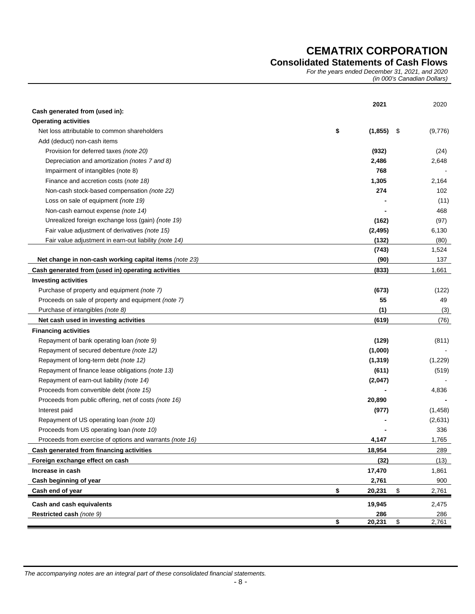## **Consolidated Statements of Cash Flows**

*For the years ended December 31, 2021, and 2020* 

*(in 000's Canadian Dollars)* 

|                                                          | 2021                | 2020               |
|----------------------------------------------------------|---------------------|--------------------|
| Cash generated from (used in):                           |                     |                    |
| <b>Operating activities</b>                              |                     |                    |
| Net loss attributable to common shareholders             | \$<br>(1, 855)      | \$<br>(9,776)      |
| Add (deduct) non-cash items                              |                     |                    |
| Provision for deferred taxes (note 20)                   | (932)               | (24)               |
| Depreciation and amortization (notes 7 and 8)            | 2,486               | 2,648              |
| Impairment of intangibles (note 8)                       | 768                 |                    |
| Finance and accretion costs (note 18)                    | 1,305               | 2,164              |
| Non-cash stock-based compensation (note 22)              | 274                 | 102                |
| Loss on sale of equipment (note 19)                      |                     | (11)               |
| Non-cash earnout expense (note 14)                       |                     | 468                |
| Unrealized foreign exchange loss (gain) (note 19)        | (162)               | (97)               |
| Fair value adjustment of derivatives (note 15)           | (2, 495)            | 6,130              |
| Fair value adjustment in earn-out liability (note 14)    | (132)               | (80)               |
|                                                          | (743)               | 1,524              |
| Net change in non-cash working capital items (note 23)   | (90)                | 137                |
| Cash generated from (used in) operating activities       | (833)               | 1,661              |
| <b>Investing activities</b>                              |                     |                    |
| Purchase of property and equipment (note 7)              | (673)               | (122)              |
| Proceeds on sale of property and equipment (note 7)      | 55                  | 49                 |
| Purchase of intangibles (note 8)                         | (1)                 | (3)                |
| Net cash used in investing activities                    | (619)               | (76)               |
| <b>Financing activities</b>                              |                     |                    |
| Repayment of bank operating loan (note 9)                | (129)               | (811)              |
| Repayment of secured debenture (note 12)                 | (1,000)             |                    |
| Repayment of long-term debt (note 12)                    | (1, 319)            | (1,229)            |
| Repayment of finance lease obligations (note 13)         | (611)               | (519)              |
| Repayment of earn-out liability (note 14)                | (2,047)             |                    |
| Proceeds from convertible debt (note 15)                 |                     | 4,836              |
| Proceeds from public offering, net of costs (note 16)    | 20,890              |                    |
| Interest paid                                            | (977)               | (1,458)            |
| Repayment of US operating loan (note 10)                 |                     | (2,631)            |
| Proceeds from US operating loan (note 10)                |                     | 336                |
| Proceeds from exercise of options and warrants (note 16) | 4,147               | 1,765              |
| Cash generated from financing activities                 | 18,954              | 289                |
| Foreign exchange effect on cash                          | (32)                | (13)               |
| Increase in cash                                         | 17,470              | 1,861              |
| Cash beginning of year                                   | 2,761               | 900                |
| Cash end of year                                         | \$<br>20,231        | \$<br>2,761        |
| Cash and cash equivalents                                | 19,945              |                    |
| Restricted cash (note 9)                                 |                     | 2,475              |
|                                                          | \$<br>286<br>20,231 | \$<br>286<br>2,761 |
|                                                          |                     |                    |

*The accompanying notes are an integral part of these consolidated financial statements.*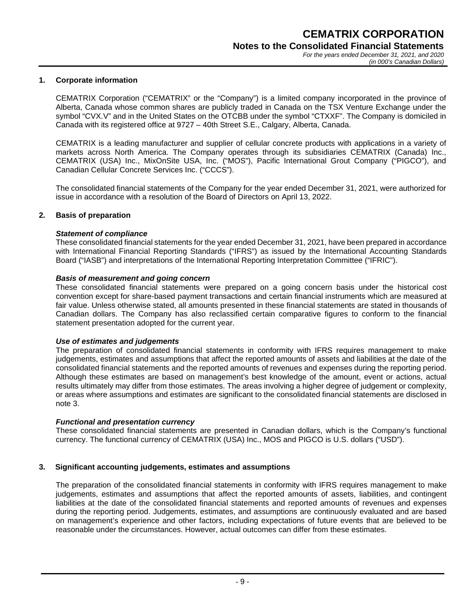#### **1. Corporate information**

CEMATRIX Corporation ("CEMATRIX" or the "Company") is a limited company incorporated in the province of Alberta, Canada whose common shares are publicly traded in Canada on the TSX Venture Exchange under the symbol "CVX.V" and in the United States on the OTCBB under the symbol "CTXXF". The Company is domiciled in Canada with its registered office at 9727 – 40th Street S.E., Calgary, Alberta, Canada.

CEMATRIX is a leading manufacturer and supplier of cellular concrete products with applications in a variety of markets across North America. The Company operates through its subsidiaries CEMATRIX (Canada) Inc., CEMATRIX (USA) Inc., MixOnSite USA, Inc. ("MOS"), Pacific International Grout Company ("PIGCO"), and Canadian Cellular Concrete Services Inc. ("CCCS").

The consolidated financial statements of the Company for the year ended December 31, 2021, were authorized for issue in accordance with a resolution of the Board of Directors on April 13, 2022.

#### **2. Basis of preparation**

#### *Statement of compliance*

These consolidated financial statements for the year ended December 31, 2021, have been prepared in accordance with International Financial Reporting Standards ("IFRS") as issued by the International Accounting Standards Board ("IASB") and interpretations of the International Reporting Interpretation Committee ("IFRIC").

#### *Basis of measurement and going concern*

These consolidated financial statements were prepared on a going concern basis under the historical cost convention except for share-based payment transactions and certain financial instruments which are measured at fair value. Unless otherwise stated, all amounts presented in these financial statements are stated in thousands of Canadian dollars. The Company has also reclassified certain comparative figures to conform to the financial statement presentation adopted for the current year.

#### *Use of estimates and judgements*

The preparation of consolidated financial statements in conformity with IFRS requires management to make judgements, estimates and assumptions that affect the reported amounts of assets and liabilities at the date of the consolidated financial statements and the reported amounts of revenues and expenses during the reporting period. Although these estimates are based on management's best knowledge of the amount, event or actions, actual results ultimately may differ from those estimates. The areas involving a higher degree of judgement or complexity, or areas where assumptions and estimates are significant to the consolidated financial statements are disclosed in note 3.

#### *Functional and presentation currency*

These consolidated financial statements are presented in Canadian dollars, which is the Company's functional currency. The functional currency of CEMATRIX (USA) Inc., MOS and PIGCO is U.S. dollars ("USD").

#### **3. Significant accounting judgements, estimates and assumptions**

The preparation of the consolidated financial statements in conformity with IFRS requires management to make judgements, estimates and assumptions that affect the reported amounts of assets, liabilities, and contingent liabilities at the date of the consolidated financial statements and reported amounts of revenues and expenses during the reporting period. Judgements, estimates, and assumptions are continuously evaluated and are based on management's experience and other factors, including expectations of future events that are believed to be reasonable under the circumstances. However, actual outcomes can differ from these estimates.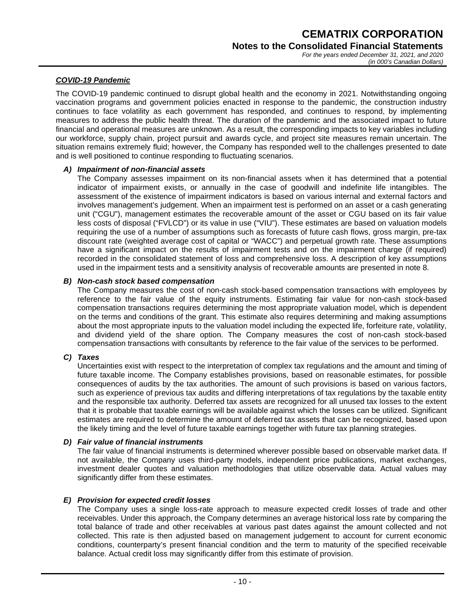*(in 000's Canadian Dollars)*

## *COVID-19 Pandemic*

The COVID-19 pandemic continued to disrupt global health and the economy in 2021. Notwithstanding ongoing vaccination programs and government policies enacted in response to the pandemic, the construction industry continues to face volatility as each government has responded, and continues to respond, by implementing measures to address the public health threat. The duration of the pandemic and the associated impact to future financial and operational measures are unknown. As a result, the corresponding impacts to key variables including our workforce, supply chain, project pursuit and awards cycle, and project site measures remain uncertain. The situation remains extremely fluid; however, the Company has responded well to the challenges presented to date and is well positioned to continue responding to fluctuating scenarios.

## *A) Impairment of non-financial assets*

The Company assesses impairment on its non-financial assets when it has determined that a potential indicator of impairment exists, or annually in the case of goodwill and indefinite life intangibles. The assessment of the existence of impairment indicators is based on various internal and external factors and involves management's judgement. When an impairment test is performed on an asset or a cash generating unit ("CGU"), management estimates the recoverable amount of the asset or CGU based on its fair value less costs of disposal ("FVLCD") or its value in use ("VIU"). These estimates are based on valuation models requiring the use of a number of assumptions such as forecasts of future cash flows, gross margin, pre-tax discount rate (weighted average cost of capital or "WACC") and perpetual growth rate. These assumptions have a significant impact on the results of impairment tests and on the impairment charge (if required) recorded in the consolidated statement of loss and comprehensive loss. A description of key assumptions used in the impairment tests and a sensitivity analysis of recoverable amounts are presented in note 8.

#### *B) Non-cash stock based compensation*

The Company measures the cost of non-cash stock-based compensation transactions with employees by reference to the fair value of the equity instruments. Estimating fair value for non-cash stock-based compensation transactions requires determining the most appropriate valuation model, which is dependent on the terms and conditions of the grant. This estimate also requires determining and making assumptions about the most appropriate inputs to the valuation model including the expected life, forfeiture rate, volatility, and dividend yield of the share option. The Company measures the cost of non-cash stock-based compensation transactions with consultants by reference to the fair value of the services to be performed.

## *C) Taxes*

Uncertainties exist with respect to the interpretation of complex tax regulations and the amount and timing of future taxable income. The Company establishes provisions, based on reasonable estimates, for possible consequences of audits by the tax authorities. The amount of such provisions is based on various factors, such as experience of previous tax audits and differing interpretations of tax regulations by the taxable entity and the responsible tax authority. Deferred tax assets are recognized for all unused tax losses to the extent that it is probable that taxable earnings will be available against which the losses can be utilized. Significant estimates are required to determine the amount of deferred tax assets that can be recognized, based upon the likely timing and the level of future taxable earnings together with future tax planning strategies.

## *D) Fair value of financial instruments*

The fair value of financial instruments is determined wherever possible based on observable market data. If not available, the Company uses third-party models, independent price publications, market exchanges, investment dealer quotes and valuation methodologies that utilize observable data. Actual values may significantly differ from these estimates.

#### *E) Provision for expected credit losses*

The Company uses a single loss-rate approach to measure expected credit losses of trade and other receivables. Under this approach, the Company determines an average historical loss rate by comparing the total balance of trade and other receivables at various past dates against the amount collected and not collected. This rate is then adjusted based on management judgement to account for current economic conditions, counterparty's present financial condition and the term to maturity of the specified receivable balance. Actual credit loss may significantly differ from this estimate of provision.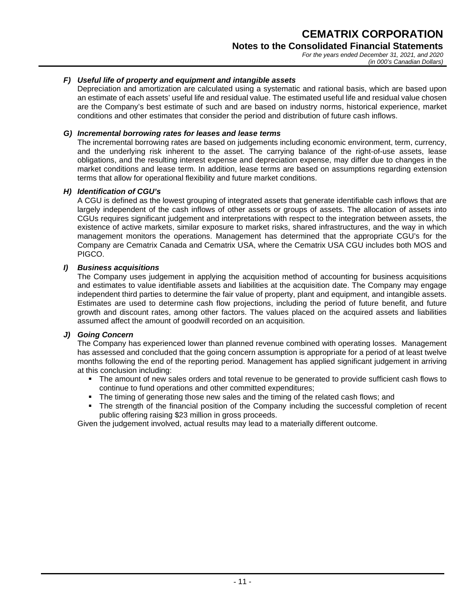*For the years ended December 31, 2021, and 2020 (in 000's Canadian Dollars)*

## *F) Useful life of property and equipment and intangible assets*

Depreciation and amortization are calculated using a systematic and rational basis, which are based upon an estimate of each assets' useful life and residual value. The estimated useful life and residual value chosen are the Company's best estimate of such and are based on industry norms, historical experience, market conditions and other estimates that consider the period and distribution of future cash inflows.

## *G) Incremental borrowing rates for leases and lease terms*

The incremental borrowing rates are based on judgements including economic environment, term, currency, and the underlying risk inherent to the asset. The carrying balance of the right-of-use assets, lease obligations, and the resulting interest expense and depreciation expense, may differ due to changes in the market conditions and lease term. In addition, lease terms are based on assumptions regarding extension terms that allow for operational flexibility and future market conditions.

## *H) Identification of CGU's*

A CGU is defined as the lowest grouping of integrated assets that generate identifiable cash inflows that are largely independent of the cash inflows of other assets or groups of assets. The allocation of assets into CGUs requires significant judgement and interpretations with respect to the integration between assets, the existence of active markets, similar exposure to market risks, shared infrastructures, and the way in which management monitors the operations. Management has determined that the appropriate CGU's for the Company are Cematrix Canada and Cematrix USA, where the Cematrix USA CGU includes both MOS and PIGCO.

## *I) Business acquisitions*

The Company uses judgement in applying the acquisition method of accounting for business acquisitions and estimates to value identifiable assets and liabilities at the acquisition date. The Company may engage independent third parties to determine the fair value of property, plant and equipment, and intangible assets. Estimates are used to determine cash flow projections, including the period of future benefit, and future growth and discount rates, among other factors. The values placed on the acquired assets and liabilities assumed affect the amount of goodwill recorded on an acquisition.

## *J) Going Concern*

The Company has experienced lower than planned revenue combined with operating losses. Management has assessed and concluded that the going concern assumption is appropriate for a period of at least twelve months following the end of the reporting period. Management has applied significant judgement in arriving at this conclusion including:

- The amount of new sales orders and total revenue to be generated to provide sufficient cash flows to continue to fund operations and other committed expenditures;
- The timing of generating those new sales and the timing of the related cash flows; and
- The strength of the financial position of the Company including the successful completion of recent public offering raising \$23 million in gross proceeds.

Given the judgement involved, actual results may lead to a materially different outcome.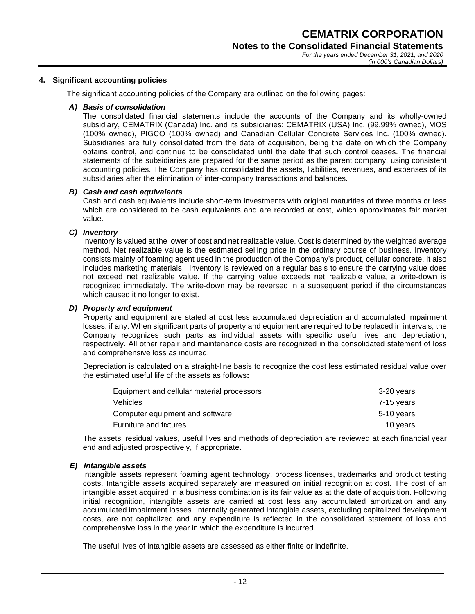#### **4. Significant accounting policies**

The significant accounting policies of the Company are outlined on the following pages:

#### *A) Basis of consolidation*

The consolidated financial statements include the accounts of the Company and its wholly-owned subsidiary, CEMATRIX (Canada) Inc. and its subsidiaries: CEMATRIX (USA) Inc. (99.99% owned), MOS (100% owned), PIGCO (100% owned) and Canadian Cellular Concrete Services Inc. (100% owned). Subsidiaries are fully consolidated from the date of acquisition, being the date on which the Company obtains control, and continue to be consolidated until the date that such control ceases. The financial statements of the subsidiaries are prepared for the same period as the parent company, using consistent accounting policies. The Company has consolidated the assets, liabilities, revenues, and expenses of its subsidiaries after the elimination of inter-company transactions and balances.

#### *B) Cash and cash equivalents*

Cash and cash equivalents include short-term investments with original maturities of three months or less which are considered to be cash equivalents and are recorded at cost, which approximates fair market value.

#### *C) Inventory*

Inventory is valued at the lower of cost and net realizable value. Cost is determined by the weighted average method. Net realizable value is the estimated selling price in the ordinary course of business. Inventory consists mainly of foaming agent used in the production of the Company's product, cellular concrete. It also includes marketing materials. Inventory is reviewed on a regular basis to ensure the carrying value does not exceed net realizable value. If the carrying value exceeds net realizable value, a write-down is recognized immediately. The write-down may be reversed in a subsequent period if the circumstances which caused it no longer to exist.

#### *D) Property and equipment*

Property and equipment are stated at cost less accumulated depreciation and accumulated impairment losses, if any. When significant parts of property and equipment are required to be replaced in intervals, the Company recognizes such parts as individual assets with specific useful lives and depreciation, respectively. All other repair and maintenance costs are recognized in the consolidated statement of loss and comprehensive loss as incurred.

Depreciation is calculated on a straight-line basis to recognize the cost less estimated residual value over the estimated useful life of the assets as follows**:** 

| Equipment and cellular material processors | 3-20 years |
|--------------------------------------------|------------|
| Vehicles                                   | 7-15 years |
| Computer equipment and software            | 5-10 years |
| Furniture and fixtures                     | 10 years   |
|                                            |            |

The assets' residual values, useful lives and methods of depreciation are reviewed at each financial year end and adjusted prospectively, if appropriate.

#### *E) Intangible assets*

Intangible assets represent foaming agent technology, process licenses, trademarks and product testing costs. Intangible assets acquired separately are measured on initial recognition at cost. The cost of an intangible asset acquired in a business combination is its fair value as at the date of acquisition. Following initial recognition, intangible assets are carried at cost less any accumulated amortization and any accumulated impairment losses. Internally generated intangible assets, excluding capitalized development costs, are not capitalized and any expenditure is reflected in the consolidated statement of loss and comprehensive loss in the year in which the expenditure is incurred.

The useful lives of intangible assets are assessed as either finite or indefinite.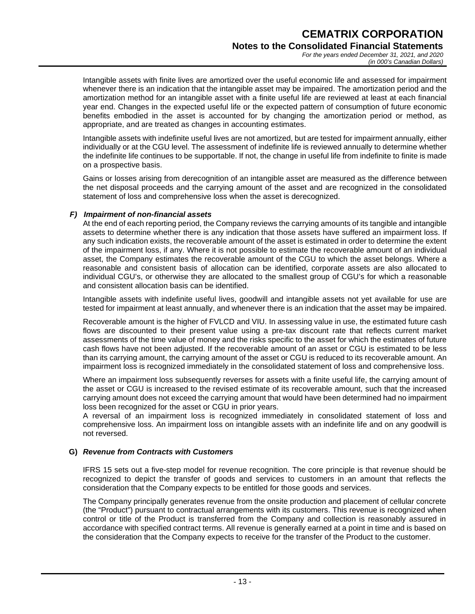Intangible assets with finite lives are amortized over the useful economic life and assessed for impairment whenever there is an indication that the intangible asset may be impaired. The amortization period and the amortization method for an intangible asset with a finite useful life are reviewed at least at each financial year end. Changes in the expected useful life or the expected pattern of consumption of future economic benefits embodied in the asset is accounted for by changing the amortization period or method, as appropriate, and are treated as changes in accounting estimates.

Intangible assets with indefinite useful lives are not amortized, but are tested for impairment annually, either individually or at the CGU level. The assessment of indefinite life is reviewed annually to determine whether the indefinite life continues to be supportable. If not, the change in useful life from indefinite to finite is made on a prospective basis.

Gains or losses arising from derecognition of an intangible asset are measured as the difference between the net disposal proceeds and the carrying amount of the asset and are recognized in the consolidated statement of loss and comprehensive loss when the asset is derecognized.

## *F) Impairment of non-financial assets*

At the end of each reporting period, the Company reviews the carrying amounts of its tangible and intangible assets to determine whether there is any indication that those assets have suffered an impairment loss. If any such indication exists, the recoverable amount of the asset is estimated in order to determine the extent of the impairment loss, if any. Where it is not possible to estimate the recoverable amount of an individual asset, the Company estimates the recoverable amount of the CGU to which the asset belongs. Where a reasonable and consistent basis of allocation can be identified, corporate assets are also allocated to individual CGU's, or otherwise they are allocated to the smallest group of CGU's for which a reasonable and consistent allocation basis can be identified.

Intangible assets with indefinite useful lives, goodwill and intangible assets not yet available for use are tested for impairment at least annually, and whenever there is an indication that the asset may be impaired.

Recoverable amount is the higher of FVLCD and VIU. In assessing value in use, the estimated future cash flows are discounted to their present value using a pre-tax discount rate that reflects current market assessments of the time value of money and the risks specific to the asset for which the estimates of future cash flows have not been adjusted. If the recoverable amount of an asset or CGU is estimated to be less than its carrying amount, the carrying amount of the asset or CGU is reduced to its recoverable amount. An impairment loss is recognized immediately in the consolidated statement of loss and comprehensive loss.

Where an impairment loss subsequently reverses for assets with a finite useful life, the carrying amount of the asset or CGU is increased to the revised estimate of its recoverable amount, such that the increased carrying amount does not exceed the carrying amount that would have been determined had no impairment loss been recognized for the asset or CGU in prior years.

A reversal of an impairment loss is recognized immediately in consolidated statement of loss and comprehensive loss. An impairment loss on intangible assets with an indefinite life and on any goodwill is not reversed.

## **G)** *Revenue from Contracts with Customers*

IFRS 15 sets out a five-step model for revenue recognition. The core principle is that revenue should be recognized to depict the transfer of goods and services to customers in an amount that reflects the consideration that the Company expects to be entitled for those goods and services.

The Company principally generates revenue from the onsite production and placement of cellular concrete (the "Product") pursuant to contractual arrangements with its customers. This revenue is recognized when control or title of the Product is transferred from the Company and collection is reasonably assured in accordance with specified contract terms. All revenue is generally earned at a point in time and is based on the consideration that the Company expects to receive for the transfer of the Product to the customer.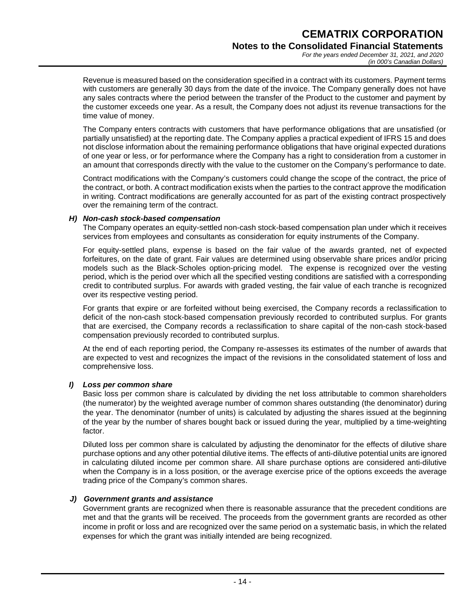Revenue is measured based on the consideration specified in a contract with its customers. Payment terms with customers are generally 30 days from the date of the invoice. The Company generally does not have any sales contracts where the period between the transfer of the Product to the customer and payment by the customer exceeds one year. As a result, the Company does not adjust its revenue transactions for the time value of money.

The Company enters contracts with customers that have performance obligations that are unsatisfied (or partially unsatisfied) at the reporting date. The Company applies a practical expedient of IFRS 15 and does not disclose information about the remaining performance obligations that have original expected durations of one year or less, or for performance where the Company has a right to consideration from a customer in an amount that corresponds directly with the value to the customer on the Company's performance to date.

Contract modifications with the Company's customers could change the scope of the contract, the price of the contract, or both. A contract modification exists when the parties to the contract approve the modification in writing. Contract modifications are generally accounted for as part of the existing contract prospectively over the remaining term of the contract.

#### *H) Non-cash stock-based compensation*

The Company operates an equity-settled non-cash stock-based compensation plan under which it receives services from employees and consultants as consideration for equity instruments of the Company.

For equity-settled plans, expense is based on the fair value of the awards granted, net of expected forfeitures, on the date of grant. Fair values are determined using observable share prices and/or pricing models such as the Black-Scholes option-pricing model. The expense is recognized over the vesting period, which is the period over which all the specified vesting conditions are satisfied with a corresponding credit to contributed surplus. For awards with graded vesting, the fair value of each tranche is recognized over its respective vesting period.

For grants that expire or are forfeited without being exercised, the Company records a reclassification to deficit of the non-cash stock-based compensation previously recorded to contributed surplus. For grants that are exercised, the Company records a reclassification to share capital of the non-cash stock-based compensation previously recorded to contributed surplus.

At the end of each reporting period, the Company re-assesses its estimates of the number of awards that are expected to vest and recognizes the impact of the revisions in the consolidated statement of loss and comprehensive loss.

## *I) Loss per common share*

Basic loss per common share is calculated by dividing the net loss attributable to common shareholders (the numerator) by the weighted average number of common shares outstanding (the denominator) during the year. The denominator (number of units) is calculated by adjusting the shares issued at the beginning of the year by the number of shares bought back or issued during the year, multiplied by a time-weighting factor.

Diluted loss per common share is calculated by adjusting the denominator for the effects of dilutive share purchase options and any other potential dilutive items. The effects of anti-dilutive potential units are ignored in calculating diluted income per common share. All share purchase options are considered anti-dilutive when the Company is in a loss position, or the average exercise price of the options exceeds the average trading price of the Company's common shares.

## *J) Government grants and assistance*

Government grants are recognized when there is reasonable assurance that the precedent conditions are met and that the grants will be received. The proceeds from the government grants are recorded as other income in profit or loss and are recognized over the same period on a systematic basis, in which the related expenses for which the grant was initially intended are being recognized.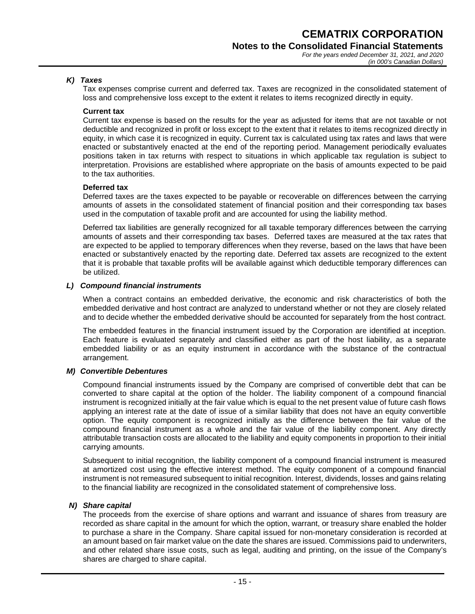## *K) Taxes*

Tax expenses comprise current and deferred tax. Taxes are recognized in the consolidated statement of loss and comprehensive loss except to the extent it relates to items recognized directly in equity.

#### **Current tax**

Current tax expense is based on the results for the year as adjusted for items that are not taxable or not deductible and recognized in profit or loss except to the extent that it relates to items recognized directly in equity, in which case it is recognized in equity. Current tax is calculated using tax rates and laws that were enacted or substantively enacted at the end of the reporting period. Management periodically evaluates positions taken in tax returns with respect to situations in which applicable tax regulation is subject to interpretation. Provisions are established where appropriate on the basis of amounts expected to be paid to the tax authorities.

#### **Deferred tax**

Deferred taxes are the taxes expected to be payable or recoverable on differences between the carrying amounts of assets in the consolidated statement of financial position and their corresponding tax bases used in the computation of taxable profit and are accounted for using the liability method.

Deferred tax liabilities are generally recognized for all taxable temporary differences between the carrying amounts of assets and their corresponding tax bases. Deferred taxes are measured at the tax rates that are expected to be applied to temporary differences when they reverse, based on the laws that have been enacted or substantively enacted by the reporting date. Deferred tax assets are recognized to the extent that it is probable that taxable profits will be available against which deductible temporary differences can be utilized.

#### *L) Compound financial instruments*

When a contract contains an embedded derivative, the economic and risk characteristics of both the embedded derivative and host contract are analyzed to understand whether or not they are closely related and to decide whether the embedded derivative should be accounted for separately from the host contract.

The embedded features in the financial instrument issued by the Corporation are identified at inception. Each feature is evaluated separately and classified either as part of the host liability, as a separate embedded liability or as an equity instrument in accordance with the substance of the contractual arrangement.

## *M) Convertible Debentures*

Compound financial instruments issued by the Company are comprised of convertible debt that can be converted to share capital at the option of the holder. The liability component of a compound financial instrument is recognized initially at the fair value which is equal to the net present value of future cash flows applying an interest rate at the date of issue of a similar liability that does not have an equity convertible option. The equity component is recognized initially as the difference between the fair value of the compound financial instrument as a whole and the fair value of the liability component. Any directly attributable transaction costs are allocated to the liability and equity components in proportion to their initial carrying amounts.

Subsequent to initial recognition, the liability component of a compound financial instrument is measured at amortized cost using the effective interest method. The equity component of a compound financial instrument is not remeasured subsequent to initial recognition. Interest, dividends, losses and gains relating to the financial liability are recognized in the consolidated statement of comprehensive loss.

## *N) Share capital*

The proceeds from the exercise of share options and warrant and issuance of shares from treasury are recorded as share capital in the amount for which the option, warrant, or treasury share enabled the holder to purchase a share in the Company. Share capital issued for non-monetary consideration is recorded at an amount based on fair market value on the date the shares are issued. Commissions paid to underwriters, and other related share issue costs, such as legal, auditing and printing, on the issue of the Company's shares are charged to share capital.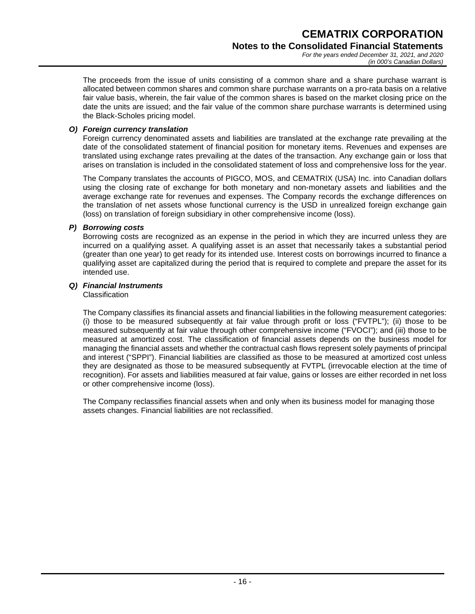*(in 000's Canadian Dollars)*

The proceeds from the issue of units consisting of a common share and a share purchase warrant is allocated between common shares and common share purchase warrants on a pro-rata basis on a relative fair value basis, wherein, the fair value of the common shares is based on the market closing price on the date the units are issued; and the fair value of the common share purchase warrants is determined using the Black-Scholes pricing model.

## *O) Foreign currency translation*

Foreign currency denominated assets and liabilities are translated at the exchange rate prevailing at the date of the consolidated statement of financial position for monetary items. Revenues and expenses are translated using exchange rates prevailing at the dates of the transaction. Any exchange gain or loss that arises on translation is included in the consolidated statement of loss and comprehensive loss for the year.

The Company translates the accounts of PIGCO, MOS, and CEMATRIX (USA) Inc. into Canadian dollars using the closing rate of exchange for both monetary and non-monetary assets and liabilities and the average exchange rate for revenues and expenses. The Company records the exchange differences on the translation of net assets whose functional currency is the USD in unrealized foreign exchange gain (loss) on translation of foreign subsidiary in other comprehensive income (loss).

#### *P) Borrowing costs*

Borrowing costs are recognized as an expense in the period in which they are incurred unless they are incurred on a qualifying asset. A qualifying asset is an asset that necessarily takes a substantial period (greater than one year) to get ready for its intended use. Interest costs on borrowings incurred to finance a qualifying asset are capitalized during the period that is required to complete and prepare the asset for its intended use.

## *Q) Financial Instruments*

**Classification** 

The Company classifies its financial assets and financial liabilities in the following measurement categories: (i) those to be measured subsequently at fair value through profit or loss ("FVTPL"); (ii) those to be measured subsequently at fair value through other comprehensive income ("FVOCI"); and (iii) those to be measured at amortized cost. The classification of financial assets depends on the business model for managing the financial assets and whether the contractual cash flows represent solely payments of principal and interest ("SPPI"). Financial liabilities are classified as those to be measured at amortized cost unless they are designated as those to be measured subsequently at FVTPL (irrevocable election at the time of recognition). For assets and liabilities measured at fair value, gains or losses are either recorded in net loss or other comprehensive income (loss).

The Company reclassifies financial assets when and only when its business model for managing those assets changes. Financial liabilities are not reclassified.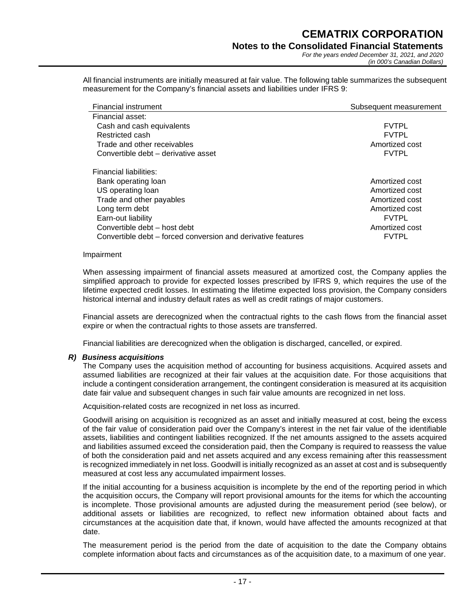## **CEMATRIX CORPORATION Notes to the Consolidated Financial Statements**

*For the years ended December 31, 2021, and 2020* 

*(in 000's Canadian Dollars)*

All financial instruments are initially measured at fair value. The following table summarizes the subsequent measurement for the Company's financial assets and liabilities under IFRS 9:

| <b>Financial instrument</b>                                  | Subsequent measurement |
|--------------------------------------------------------------|------------------------|
| Financial asset:                                             |                        |
| Cash and cash equivalents                                    | <b>FVTPL</b>           |
| Restricted cash                                              | <b>FVTPL</b>           |
| Trade and other receivables                                  | Amortized cost         |
| Convertible debt – derivative asset                          | <b>FVTPL</b>           |
| <b>Financial liabilities:</b>                                |                        |
| Bank operating loan                                          | Amortized cost         |
| US operating loan                                            | Amortized cost         |
| Trade and other payables                                     | Amortized cost         |
| Long term debt                                               | Amortized cost         |
| Earn-out liability                                           | <b>FVTPL</b>           |
| Convertible debt - host debt                                 | Amortized cost         |
| Convertible debt – forced conversion and derivative features | <b>FVTPL</b>           |

#### Impairment

When assessing impairment of financial assets measured at amortized cost, the Company applies the simplified approach to provide for expected losses prescribed by IFRS 9, which requires the use of the lifetime expected credit losses. In estimating the lifetime expected loss provision, the Company considers historical internal and industry default rates as well as credit ratings of major customers.

Financial assets are derecognized when the contractual rights to the cash flows from the financial asset expire or when the contractual rights to those assets are transferred.

Financial liabilities are derecognized when the obligation is discharged, cancelled, or expired.

## *R) Business acquisitions*

The Company uses the acquisition method of accounting for business acquisitions. Acquired assets and assumed liabilities are recognized at their fair values at the acquisition date. For those acquisitions that include a contingent consideration arrangement, the contingent consideration is measured at its acquisition date fair value and subsequent changes in such fair value amounts are recognized in net loss.

Acquisition-related costs are recognized in net loss as incurred.

Goodwill arising on acquisition is recognized as an asset and initially measured at cost, being the excess of the fair value of consideration paid over the Company's interest in the net fair value of the identifiable assets, liabilities and contingent liabilities recognized. If the net amounts assigned to the assets acquired and liabilities assumed exceed the consideration paid, then the Company is required to reassess the value of both the consideration paid and net assets acquired and any excess remaining after this reassessment is recognized immediately in net loss. Goodwill is initially recognized as an asset at cost and is subsequently measured at cost less any accumulated impairment losses.

If the initial accounting for a business acquisition is incomplete by the end of the reporting period in which the acquisition occurs, the Company will report provisional amounts for the items for which the accounting is incomplete. Those provisional amounts are adjusted during the measurement period (see below), or additional assets or liabilities are recognized, to reflect new information obtained about facts and circumstances at the acquisition date that, if known, would have affected the amounts recognized at that date.

The measurement period is the period from the date of acquisition to the date the Company obtains complete information about facts and circumstances as of the acquisition date, to a maximum of one year.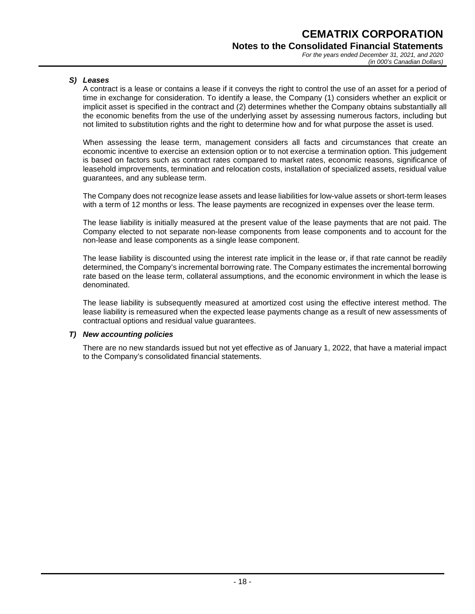## *S) Leases*

A contract is a lease or contains a lease if it conveys the right to control the use of an asset for a period of time in exchange for consideration. To identify a lease, the Company (1) considers whether an explicit or implicit asset is specified in the contract and (2) determines whether the Company obtains substantially all the economic benefits from the use of the underlying asset by assessing numerous factors, including but not limited to substitution rights and the right to determine how and for what purpose the asset is used.

When assessing the lease term, management considers all facts and circumstances that create an economic incentive to exercise an extension option or to not exercise a termination option. This judgement is based on factors such as contract rates compared to market rates, economic reasons, significance of leasehold improvements, termination and relocation costs, installation of specialized assets, residual value guarantees, and any sublease term.

The Company does not recognize lease assets and lease liabilities for low-value assets or short-term leases with a term of 12 months or less. The lease payments are recognized in expenses over the lease term.

The lease liability is initially measured at the present value of the lease payments that are not paid. The Company elected to not separate non-lease components from lease components and to account for the non-lease and lease components as a single lease component.

The lease liability is discounted using the interest rate implicit in the lease or, if that rate cannot be readily determined, the Company's incremental borrowing rate. The Company estimates the incremental borrowing rate based on the lease term, collateral assumptions, and the economic environment in which the lease is denominated.

The lease liability is subsequently measured at amortized cost using the effective interest method. The lease liability is remeasured when the expected lease payments change as a result of new assessments of contractual options and residual value guarantees.

## *T) New accounting policies*

There are no new standards issued but not yet effective as of January 1, 2022, that have a material impact to the Company's consolidated financial statements.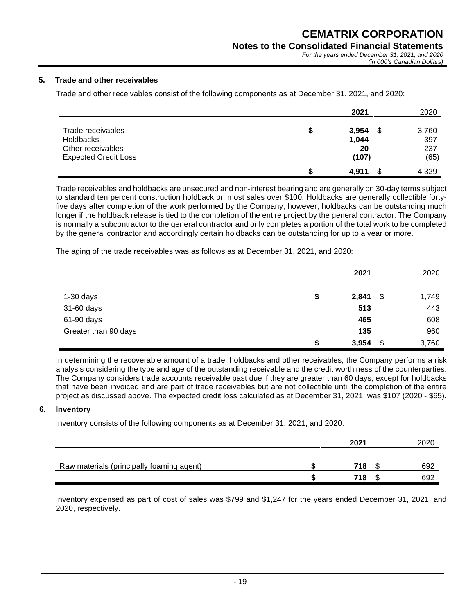*For the years ended December 31, 2021, and 2020* 

#### **5. Trade and other receivables**

Trade and other receivables consist of the following components as at December 31, 2021, and 2020:

|                                                                                    |   | 2021                               | 2020                        |
|------------------------------------------------------------------------------------|---|------------------------------------|-----------------------------|
| Trade receivables<br>Holdbacks<br>Other receivables<br><b>Expected Credit Loss</b> | æ | 3,954<br>S<br>1,044<br>20<br>(107) | 3,760<br>397<br>237<br>(65) |
|                                                                                    |   | ß.<br>4.911                        | 4,329                       |

Trade receivables and holdbacks are unsecured and non-interest bearing and are generally on 30-day terms subject to standard ten percent construction holdback on most sales over \$100. Holdbacks are generally collectible fortyfive days after completion of the work performed by the Company; however, holdbacks can be outstanding much longer if the holdback release is tied to the completion of the entire project by the general contractor. The Company is normally a subcontractor to the general contractor and only completes a portion of the total work to be completed by the general contractor and accordingly certain holdbacks can be outstanding for up to a year or more.

The aging of the trade receivables was as follows as at December 31, 2021, and 2020:

|                      | 2021        | 2020        |
|----------------------|-------------|-------------|
|                      |             |             |
| $1-30$ days          | \$<br>2,841 | \$<br>1,749 |
| 31-60 days           | 513         | 443         |
| 61-90 days           | 465         | 608         |
| Greater than 90 days | 135         | 960         |
|                      | \$<br>3,954 | \$<br>3,760 |

In determining the recoverable amount of a trade, holdbacks and other receivables, the Company performs a risk analysis considering the type and age of the outstanding receivable and the credit worthiness of the counterparties. The Company considers trade accounts receivable past due if they are greater than 60 days, except for holdbacks that have been invoiced and are part of trade receivables but are not collectible until the completion of the entire project as discussed above. The expected credit loss calculated as at December 31, 2021, was \$107 (2020 - \$65).

#### **6. Inventory**

Inventory consists of the following components as at December 31, 2021, and 2020:

|                                           |  | 2020 |  |     |
|-------------------------------------------|--|------|--|-----|
| Raw materials (principally foaming agent) |  | 718  |  | 692 |
|                                           |  | 718  |  | 692 |

Inventory expensed as part of cost of sales was \$799 and \$1,247 for the years ended December 31, 2021, and 2020, respectively.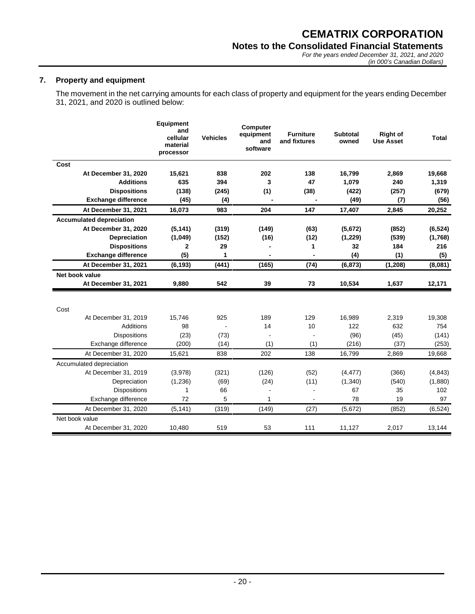# **Notes to the Consolidated Financial Statements**

*For the years ended December 31, 2021, and 2020 (in 000's Canadian Dollars)*

## **7. Property and equipment**

The movement in the net carrying amounts for each class of property and equipment for the years ending December 31, 2021, and 2020 is outlined below:

|                                 | Equipment<br>and<br>cellular<br>material<br>processor | <b>Vehicles</b> | Computer<br>equipment<br>and<br>software | <b>Furniture</b><br>and fixtures | <b>Subtotal</b><br>owned | <b>Right of</b><br><b>Use Asset</b> | <b>Total</b> |
|---------------------------------|-------------------------------------------------------|-----------------|------------------------------------------|----------------------------------|--------------------------|-------------------------------------|--------------|
| Cost                            |                                                       |                 |                                          |                                  |                          |                                     |              |
| At December 31, 2020            | 15.621                                                | 838             | 202                                      | 138                              | 16,799                   | 2,869                               | 19,668       |
| <b>Additions</b>                | 635                                                   | 394             | 3                                        | 47                               | 1,079                    | 240                                 | 1,319        |
| <b>Dispositions</b>             | (138)                                                 | (245)           | (1)                                      | (38)                             | (422)                    | (257)                               | (679)        |
| <b>Exchange difference</b>      | (45)                                                  | (4)             |                                          |                                  | (49)                     | (7)                                 | (56)         |
| At December 31, 2021            | 16,073                                                | 983             | 204                                      | 147                              | 17,407                   | 2,845                               | 20,252       |
| <b>Accumulated depreciation</b> |                                                       |                 |                                          |                                  |                          |                                     |              |
| At December 31, 2020            | (5, 141)                                              | (319)           | (149)                                    | (63)                             | (5,672)                  | (852)                               | (6, 524)     |
| Depreciation                    | (1,049)                                               | (152)           | (16)                                     | (12)                             | (1, 229)                 | (539)                               | (1,768)      |
| <b>Dispositions</b>             | 2                                                     | 29              |                                          | 1                                | 32                       | 184                                 | 216          |
| <b>Exchange difference</b>      | (5)                                                   | 1               |                                          | $\blacksquare$                   | (4)                      | (1)                                 | (5)          |
| At December 31, 2021            | (6, 193)                                              | (441)           | (165)                                    | (74)                             | (6, 873)                 | (1, 208)                            | (8,081)      |
| Net book value                  |                                                       |                 |                                          |                                  |                          |                                     |              |
| At December 31, 2021            | 9,880                                                 | 542             | 39                                       | 73                               | 10,534                   | 1,637                               | 12,171       |
|                                 |                                                       |                 |                                          |                                  |                          |                                     |              |
| Cost                            |                                                       |                 |                                          |                                  |                          |                                     |              |
| At December 31, 2019            | 15,746                                                | 925             | 189                                      | 129                              | 16,989                   | 2,319                               | 19,308       |
| <b>Additions</b>                | 98                                                    |                 | 14                                       | 10                               | 122                      | 632                                 | 754          |
| <b>Dispositions</b>             | (23)                                                  | (73)            |                                          |                                  | (96)                     | (45)                                | (141)        |
| Exchange difference             | (200)                                                 | (14)            | (1)                                      | (1)                              | (216)                    | (37)                                | (253)        |
| At December 31, 2020            | 15,621                                                | 838             | 202                                      | 138                              | 16,799                   | 2,869                               | 19,668       |
| Accumulated depreciation        |                                                       |                 |                                          |                                  |                          |                                     |              |
| At December 31, 2019            | (3,978)                                               | (321)           | (126)                                    | (52)                             | (4, 477)                 | (366)                               | (4, 843)     |
| Depreciation                    | (1,236)                                               | (69)            | (24)                                     | (11)                             | (1,340)                  | (540)                               | (1,880)      |
| <b>Dispositions</b>             | 1                                                     | 66              |                                          | ä,                               | 67                       | 35                                  | 102          |
| Exchange difference             | 72                                                    | 5               | 1                                        | ä,                               | 78                       | 19                                  | 97           |
| At December 31, 2020            | (5, 141)                                              | (319)           | (149)                                    | (27)                             | (5,672)                  | (852)                               | (6, 524)     |
| Net book value                  |                                                       |                 |                                          |                                  |                          |                                     |              |
| At December 31, 2020            | 10,480                                                | 519             | 53                                       | 111                              | 11,127                   | 2,017                               | 13,144       |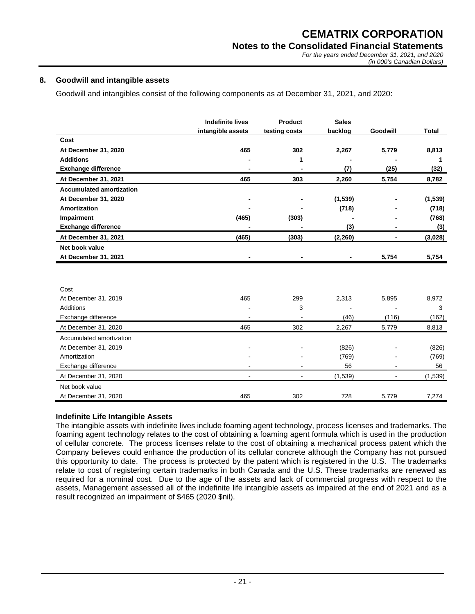#### **8. Goodwill and intangible assets**

Goodwill and intangibles consist of the following components as at December 31, 2021, and 2020:

|                                 | <b>Indefinite lives</b> | <b>Product</b>           | <b>Sales</b> |          |              |
|---------------------------------|-------------------------|--------------------------|--------------|----------|--------------|
|                                 | intangible assets       | testing costs            | backlog      | Goodwill | <b>Total</b> |
| Cost                            |                         |                          |              |          |              |
| At December 31, 2020            | 465                     | 302                      | 2,267        | 5,779    | 8,813        |
| <b>Additions</b>                |                         | 1                        |              |          | 1            |
| <b>Exchange difference</b>      |                         |                          | (7)          | (25)     | (32)         |
| At December 31, 2021            | 465                     | 303                      | 2,260        | 5,754    | 8,782        |
| <b>Accumulated amortization</b> |                         |                          |              |          |              |
| At December 31, 2020            |                         |                          | (1, 539)     |          | (1, 539)     |
| Amortization                    |                         |                          | (718)        |          | (718)        |
| Impairment                      | (465)                   | (303)                    |              |          | (768)        |
| <b>Exchange difference</b>      |                         |                          | (3)          |          | (3)          |
| At December 31, 2021            | (465)                   | (303)                    | (2, 260)     |          | (3,028)      |
| Net book value                  |                         |                          |              |          |              |
| At December 31, 2021            |                         |                          |              | 5,754    | 5,754        |
|                                 |                         |                          |              |          |              |
|                                 |                         |                          |              |          |              |
| Cost                            |                         |                          |              |          |              |
| At December 31, 2019            | 465                     | 299                      | 2,313        | 5,895    | 8,972        |
| <b>Additions</b>                |                         | 3                        |              |          | 3            |
| Exchange difference             |                         |                          | (46)         | (116)    | (162)        |
| At December 31, 2020            | 465                     | 302                      | 2,267        | 5,779    | 8,813        |
| Accumulated amortization        |                         |                          |              |          |              |
| At December 31, 2019            |                         |                          | (826)        |          | (826)        |
| Amortization                    |                         |                          | (769)        |          | (769)        |
| Exchange difference             |                         |                          | 56           | ÷.       | 56           |
| At December 31, 2020            | $\blacksquare$          | $\overline{\phantom{a}}$ | (1,539)      | ۰        | (1,539)      |
| Net book value                  |                         |                          |              |          |              |
| At December 31, 2020            | 465                     | 302                      | 728          | 5,779    | 7,274        |

## **Indefinite Life Intangible Assets**

The intangible assets with indefinite lives include foaming agent technology, process licenses and trademarks. The foaming agent technology relates to the cost of obtaining a foaming agent formula which is used in the production of cellular concrete. The process licenses relate to the cost of obtaining a mechanical process patent which the Company believes could enhance the production of its cellular concrete although the Company has not pursued this opportunity to date. The process is protected by the patent which is registered in the U.S. The trademarks relate to cost of registering certain trademarks in both Canada and the U.S. These trademarks are renewed as required for a nominal cost. Due to the age of the assets and lack of commercial progress with respect to the assets, Management assessed all of the indefinite life intangible assets as impaired at the end of 2021 and as a result recognized an impairment of \$465 (2020 \$nil).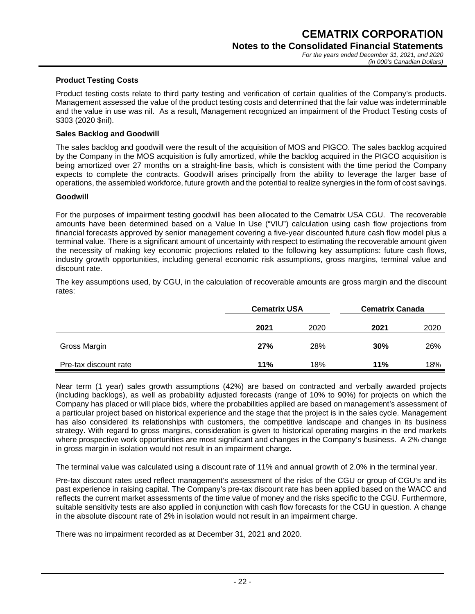#### **Product Testing Costs**

Product testing costs relate to third party testing and verification of certain qualities of the Company's products. Management assessed the value of the product testing costs and determined that the fair value was indeterminable and the value in use was nil. As a result, Management recognized an impairment of the Product Testing costs of \$303 (2020 \$nil).

#### **Sales Backlog and Goodwill**

The sales backlog and goodwill were the result of the acquisition of MOS and PIGCO. The sales backlog acquired by the Company in the MOS acquisition is fully amortized, while the backlog acquired in the PIGCO acquisition is being amortized over 27 months on a straight-line basis, which is consistent with the time period the Company expects to complete the contracts. Goodwill arises principally from the ability to leverage the larger base of operations, the assembled workforce, future growth and the potential to realize synergies in the form of cost savings.

#### **Goodwill**

For the purposes of impairment testing goodwill has been allocated to the Cematrix USA CGU. The recoverable amounts have been determined based on a Value In Use ("VIU") calculation using cash flow projections from financial forecasts approved by senior management covering a five-year discounted future cash flow model plus a terminal value. There is a significant amount of uncertainty with respect to estimating the recoverable amount given the necessity of making key economic projections related to the following key assumptions: future cash flows, industry growth opportunities, including general economic risk assumptions, gross margins, terminal value and discount rate.

The key assumptions used, by CGU, in the calculation of recoverable amounts are gross margin and the discount rates:

|                       |      | <b>Cematrix USA</b> |      | <b>Cematrix Canada</b> |  |  |
|-----------------------|------|---------------------|------|------------------------|--|--|
|                       | 2021 | 2020                | 2021 | 2020                   |  |  |
| Gross Margin          | 27%  | 28%                 | 30%  | 26%                    |  |  |
| Pre-tax discount rate | 11%  | 18%                 | 11%  | 18%                    |  |  |

Near term (1 year) sales growth assumptions (42%) are based on contracted and verbally awarded projects (including backlogs), as well as probability adjusted forecasts (range of 10% to 90%) for projects on which the Company has placed or will place bids, where the probabilities applied are based on management's assessment of a particular project based on historical experience and the stage that the project is in the sales cycle. Management has also considered its relationships with customers, the competitive landscape and changes in its business strategy. With regard to gross margins, consideration is given to historical operating margins in the end markets where prospective work opportunities are most significant and changes in the Company's business. A 2% change in gross margin in isolation would not result in an impairment charge.

The terminal value was calculated using a discount rate of 11% and annual growth of 2.0% in the terminal year.

Pre-tax discount rates used reflect management's assessment of the risks of the CGU or group of CGU's and its past experience in raising capital. The Company's pre-tax discount rate has been applied based on the WACC and reflects the current market assessments of the time value of money and the risks specific to the CGU. Furthermore, suitable sensitivity tests are also applied in conjunction with cash flow forecasts for the CGU in question. A change in the absolute discount rate of 2% in isolation would not result in an impairment charge.

There was no impairment recorded as at December 31, 2021 and 2020.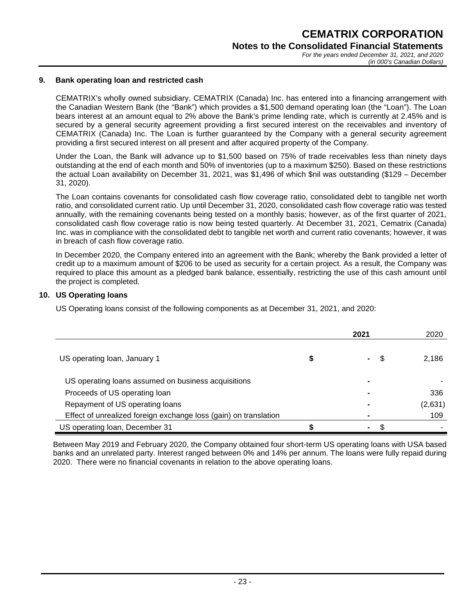#### **9. Bank operating loan and restricted cash**

CEMATRIX's wholly owned subsidiary, CEMATRIX (Canada) Inc. has entered into a financing arrangement with the Canadian Western Bank (the "Bank") which provides a \$1,500 demand operating loan (the "Loan"). The Loan bears interest at an amount equal to 2% above the Bank's prime lending rate, which is currently at 2.45% and is secured by a general security agreement providing a first secured interest on the receivables and inventory of CEMATRIX (Canada) Inc. The Loan is further guaranteed by the Company with a general security agreement providing a first secured interest on all present and after acquired property of the Company.

Under the Loan, the Bank will advance up to \$1,500 based on 75% of trade receivables less than ninety days outstanding at the end of each month and 50% of inventories (up to a maximum \$250). Based on these restrictions the actual Loan availability on December 31, 2021, was \$1,496 of which \$nil was outstanding (\$129 – December 31, 2020).

The Loan contains covenants for consolidated cash flow coverage ratio, consolidated debt to tangible net worth ratio, and consolidated current ratio. Up until December 31, 2020, consolidated cash flow coverage ratio was tested annually, with the remaining covenants being tested on a monthly basis; however, as of the first quarter of 2021, consolidated cash flow coverage ratio is now being tested quarterly. At December 31, 2021, Cematrix (Canada) Inc. was in compliance with the consolidated debt to tangible net worth and current ratio covenants; however, it was in breach of cash flow coverage ratio.

In December 2020, the Company entered into an agreement with the Bank; whereby the Bank provided a letter of credit up to a maximum amount of \$206 to be used as security for a certain project. As a result, the Company was required to place this amount as a pledged bank balance, essentially, restricting the use of this cash amount until the project is completed.

#### **10. US Operating loans**

US Operating loans consist of the following components as at December 31, 2021, and 2020:

|                                                                  |   | 2021 | 2020    |
|------------------------------------------------------------------|---|------|---------|
| US operating loan, January 1                                     | S |      | 2,186   |
| US operating loans assumed on business acquisitions              |   |      |         |
| Proceeds of US operating loan                                    |   |      | 336     |
| Repayment of US operating loans                                  |   |      | (2,631) |
| Effect of unrealized foreign exchange loss (gain) on translation |   |      | 109     |
| US operating loan, December 31                                   |   |      |         |

Between May 2019 and February 2020, the Company obtained four short-term US operating loans with USA based banks and an unrelated party. Interest ranged between 0% and 14% per annum. The loans were fully repaid during 2020. There were no financial covenants in relation to the above operating loans.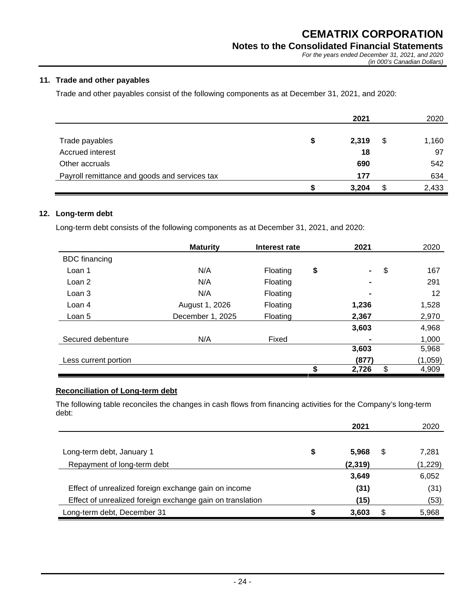## **11. Trade and other payables**

Trade and other payables consist of the following components as at December 31, 2021, and 2020:

|                                               |   | 2021  |    | 2020  |
|-----------------------------------------------|---|-------|----|-------|
|                                               |   |       |    |       |
| Trade payables                                | S | 2,319 | \$ | 1,160 |
| Accrued interest                              |   | 18    |    | 97    |
| Other accruals                                |   | 690   |    | 542   |
| Payroll remittance and goods and services tax |   | 177   |    | 634   |
|                                               |   | 3.204 | S  | 2,433 |

## **12. Long-term debt**

Long-term debt consists of the following components as at December 31, 2021, and 2020:

|                      | <b>Maturity</b>  | Interest rate | 2021                 | 2020        |
|----------------------|------------------|---------------|----------------------|-------------|
| <b>BDC</b> financing |                  |               |                      |             |
| Loan 1               | N/A              | Floating      | \$<br>$\blacksquare$ | \$<br>167   |
| Loan 2               | N/A              | Floating      | $\blacksquare$       | 291         |
| Loan 3               | N/A              | Floating      |                      | 12          |
| Loan 4               | August 1, 2026   | Floating      | 1,236                | 1,528       |
| Loan 5               | December 1, 2025 | Floating      | 2,367                | 2,970       |
|                      |                  |               | 3,603                | 4,968       |
| Secured debenture    | N/A              | Fixed         | $\blacksquare$       | 1,000       |
|                      |                  |               | 3,603                | 5,968       |
| Less current portion |                  |               | (877)                | (1,059)     |
|                      |                  |               | \$<br>2,726          | \$<br>4,909 |

## **Reconciliation of Long-term debt**

The following table reconciles the changes in cash flows from financing activities for the Company's long-term debt:

|                                                           |   | 2021     |   | 2020    |
|-----------------------------------------------------------|---|----------|---|---------|
| Long-term debt, January 1                                 | S | 5.968    | S | 7,281   |
| Repayment of long-term debt                               |   | (2, 319) |   | (1,229) |
|                                                           |   | 3,649    |   | 6,052   |
| Effect of unrealized foreign exchange gain on income      |   | (31)     |   | (31)    |
| Effect of unrealized foreign exchange gain on translation |   | (15)     |   | (53)    |
| Long-term debt, December 31                               |   | 3,603    |   | 5,968   |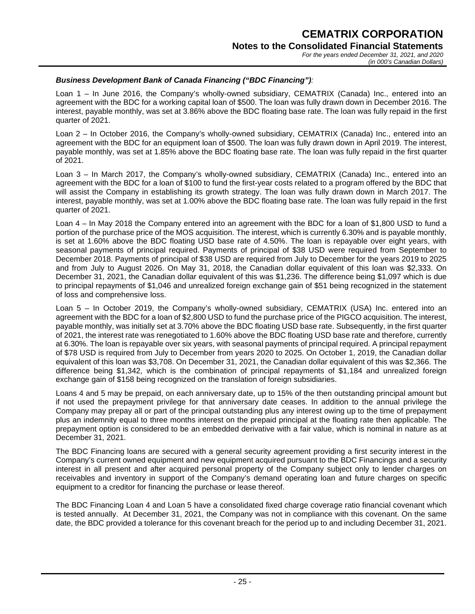## *Business Development Bank of Canada Financing ("BDC Financing"):*

Loan 1 – In June 2016, the Company's wholly-owned subsidiary, CEMATRIX (Canada) Inc., entered into an agreement with the BDC for a working capital loan of \$500. The loan was fully drawn down in December 2016. The interest, payable monthly, was set at 3.86% above the BDC floating base rate. The loan was fully repaid in the first quarter of 2021.

Loan 2 – In October 2016, the Company's wholly-owned subsidiary, CEMATRIX (Canada) Inc., entered into an agreement with the BDC for an equipment loan of \$500. The loan was fully drawn down in April 2019. The interest, payable monthly, was set at 1.85% above the BDC floating base rate. The loan was fully repaid in the first quarter of 2021.

Loan 3 – In March 2017, the Company's wholly-owned subsidiary, CEMATRIX (Canada) Inc., entered into an agreement with the BDC for a loan of \$100 to fund the first-year costs related to a program offered by the BDC that will assist the Company in establishing its growth strategy. The loan was fully drawn down in March 2017. The interest, payable monthly, was set at 1.00% above the BDC floating base rate. The loan was fully repaid in the first quarter of 2021.

Loan 4 – In May 2018 the Company entered into an agreement with the BDC for a loan of \$1,800 USD to fund a portion of the purchase price of the MOS acquisition. The interest, which is currently 6.30% and is payable monthly, is set at 1.60% above the BDC floating USD base rate of 4.50%. The loan is repayable over eight years, with seasonal payments of principal required. Payments of principal of \$38 USD were required from September to December 2018. Payments of principal of \$38 USD are required from July to December for the years 2019 to 2025 and from July to August 2026. On May 31, 2018, the Canadian dollar equivalent of this loan was \$2,333. On December 31, 2021, the Canadian dollar equivalent of this was \$1,236. The difference being \$1,097 which is due to principal repayments of \$1,046 and unrealized foreign exchange gain of \$51 being recognized in the statement of loss and comprehensive loss.

Loan 5 – In October 2019, the Company's wholly-owned subsidiary, CEMATRIX (USA) Inc. entered into an agreement with the BDC for a loan of \$2,800 USD to fund the purchase price of the PIGCO acquisition. The interest, payable monthly, was initially set at 3.70% above the BDC floating USD base rate. Subsequently, in the first quarter of 2021, the interest rate was renegotiated to 1.60% above the BDC floating USD base rate and therefore, currently at 6.30%. The loan is repayable over six years, with seasonal payments of principal required. A principal repayment of \$78 USD is required from July to December from years 2020 to 2025. On October 1, 2019, the Canadian dollar equivalent of this loan was \$3,708. On December 31, 2021, the Canadian dollar equivalent of this was \$2,366. The difference being \$1,342, which is the combination of principal repayments of \$1,184 and unrealized foreign exchange gain of \$158 being recognized on the translation of foreign subsidiaries.

Loans 4 and 5 may be prepaid, on each anniversary date, up to 15% of the then outstanding principal amount but if not used the prepayment privilege for that anniversary date ceases. In addition to the annual privilege the Company may prepay all or part of the principal outstanding plus any interest owing up to the time of prepayment plus an indemnity equal to three months interest on the prepaid principal at the floating rate then applicable. The prepayment option is considered to be an embedded derivative with a fair value, which is nominal in nature as at December 31, 2021.

The BDC Financing loans are secured with a general security agreement providing a first security interest in the Company's current owned equipment and new equipment acquired pursuant to the BDC Financings and a security interest in all present and after acquired personal property of the Company subject only to lender charges on receivables and inventory in support of the Company's demand operating loan and future charges on specific equipment to a creditor for financing the purchase or lease thereof.

The BDC Financing Loan 4 and Loan 5 have a consolidated fixed charge coverage ratio financial covenant which is tested annually. At December 31, 2021, the Company was not in compliance with this covenant. On the same date, the BDC provided a tolerance for this covenant breach for the period up to and including December 31, 2021.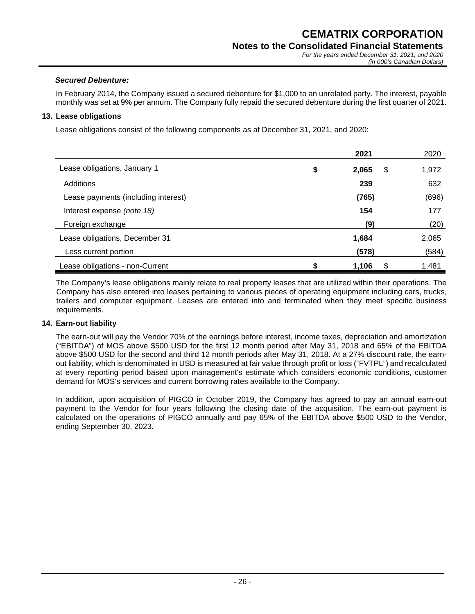## *Secured Debenture:*

In February 2014, the Company issued a secured debenture for \$1,000 to an unrelated party. The interest, payable monthly was set at 9% per annum. The Company fully repaid the secured debenture during the first quarter of 2021.

## **13. Lease obligations**

Lease obligations consist of the following components as at December 31, 2021, and 2020:

|                                     | 2021              | 2020  |
|-------------------------------------|-------------------|-------|
| Lease obligations, January 1        | \$<br>2,065<br>\$ | 1,972 |
| Additions                           | 239               | 632   |
| Lease payments (including interest) | (765)             | (696) |
| Interest expense (note 18)          | 154               | 177   |
| Foreign exchange                    | (9)               | (20)  |
| Lease obligations, December 31      | 1,684             | 2,065 |
| Less current portion                | (578)             | (584) |
| Lease obligations - non-Current     | 1,106<br>S        | 1,481 |

The Company's lease obligations mainly relate to real property leases that are utilized within their operations. The Company has also entered into leases pertaining to various pieces of operating equipment including cars, trucks, trailers and computer equipment. Leases are entered into and terminated when they meet specific business requirements.

## **14. Earn-out liability**

The earn-out will pay the Vendor 70% of the earnings before interest, income taxes, depreciation and amortization ("EBITDA") of MOS above \$500 USD for the first 12 month period after May 31, 2018 and 65% of the EBITDA above \$500 USD for the second and third 12 month periods after May 31, 2018. At a 27% discount rate, the earnout liability, which is denominated in USD is measured at fair value through profit or loss ("FVTPL") and recalculated at every reporting period based upon management's estimate which considers economic conditions, customer demand for MOS's services and current borrowing rates available to the Company.

In addition, upon acquisition of PIGCO in October 2019, the Company has agreed to pay an annual earn-out payment to the Vendor for four years following the closing date of the acquisition. The earn-out payment is calculated on the operations of PIGCO annually and pay 65% of the EBITDA above \$500 USD to the Vendor, ending September 30, 2023.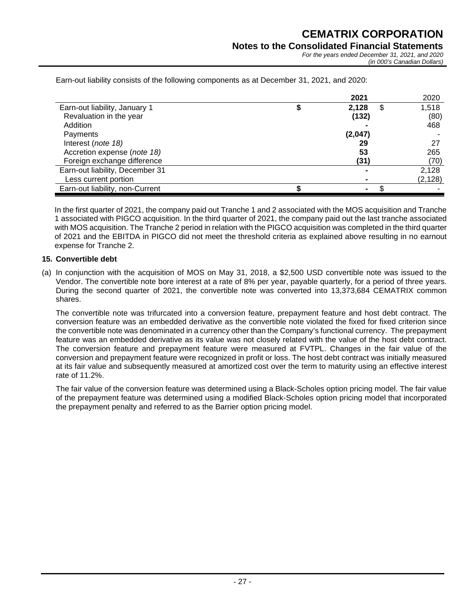|                                 | 2021    |   | 2020     |
|---------------------------------|---------|---|----------|
| Earn-out liability, January 1   | 2.128   | S | 1,518    |
| Revaluation in the year         | (132)   |   | (80)     |
| Addition                        |         |   | 468      |
| Payments                        | (2,047) |   |          |
| Interest (note 18)              | 29      |   | 27       |
| Accretion expense (note 18)     | 53      |   | 265      |
| Foreign exchange difference     | (31)    |   | (70)     |
| Earn-out liability, December 31 |         |   | 2,128    |
| Less current portion            |         |   | (2, 128) |
| Earn-out liability, non-Current |         |   |          |

Earn-out liability consists of the following components as at December 31, 2021, and 2020:

In the first quarter of 2021, the company paid out Tranche 1 and 2 associated with the MOS acquisition and Tranche 1 associated with PIGCO acquisition. In the third quarter of 2021, the company paid out the last tranche associated with MOS acquisition. The Tranche 2 period in relation with the PIGCO acquisition was completed in the third quarter of 2021 and the EBITDA in PIGCO did not meet the threshold criteria as explained above resulting in no earnout expense for Tranche 2.

#### **15. Convertible debt**

(a) In conjunction with the acquisition of MOS on May 31, 2018, a \$2,500 USD convertible note was issued to the Vendor. The convertible note bore interest at a rate of 8% per year, payable quarterly, for a period of three years. During the second quarter of 2021, the convertible note was converted into 13,373,684 CEMATRIX common shares.

The convertible note was trifurcated into a conversion feature, prepayment feature and host debt contract. The conversion feature was an embedded derivative as the convertible note violated the fixed for fixed criterion since the convertible note was denominated in a currency other than the Company's functional currency. The prepayment feature was an embedded derivative as its value was not closely related with the value of the host debt contract. The conversion feature and prepayment feature were measured at FVTPL. Changes in the fair value of the conversion and prepayment feature were recognized in profit or loss. The host debt contract was initially measured at its fair value and subsequently measured at amortized cost over the term to maturity using an effective interest rate of 11.2%.

The fair value of the conversion feature was determined using a Black-Scholes option pricing model. The fair value of the prepayment feature was determined using a modified Black-Scholes option pricing model that incorporated the prepayment penalty and referred to as the Barrier option pricing model.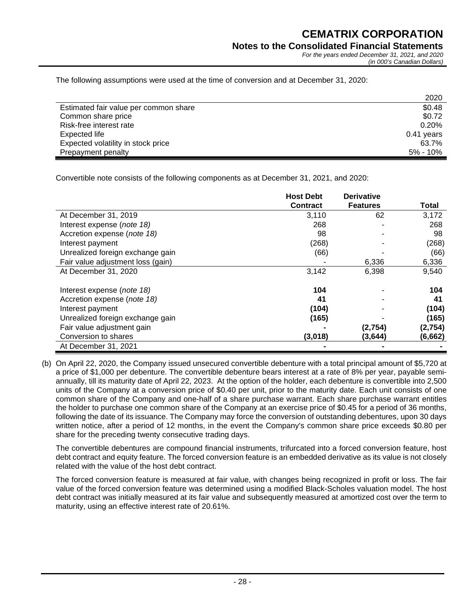*For the years ended December 31, 2021, and 2020 (in 000's Canadian Dollars)*

The following assumptions were used at the time of conversion and at December 31, 2020:

|                                       | 2020         |
|---------------------------------------|--------------|
| Estimated fair value per common share | \$0.48       |
| Common share price                    | \$0.72       |
| Risk-free interest rate               | 0.20%        |
| Expected life                         | 0.41 years   |
| Expected volatility in stock price    | 63.7%        |
| Prepayment penalty                    | $5\% - 10\%$ |

Convertible note consists of the following components as at December 31, 2021, and 2020:

|                                    | <b>Host Debt</b> | <b>Derivative</b> |              |
|------------------------------------|------------------|-------------------|--------------|
|                                    | <b>Contract</b>  | <b>Features</b>   | <b>Total</b> |
| At December 31, 2019               | 3,110            | 62                | 3,172        |
| Interest expense (note 18)         | 268              |                   | 268          |
| Accretion expense (note 18)        | 98               |                   | 98           |
| Interest payment                   | (268)            |                   | (268)        |
| Unrealized foreign exchange gain   | (66)             |                   | (66)         |
| Fair value adjustment loss (gain)  |                  | 6,336             | 6,336        |
| At December 31, 2020               | 3,142            | 6,398             | 9,540        |
| Interest expense ( <i>note</i> 18) | 104              |                   | 104          |
| Accretion expense (note 18)        | 41               |                   | 41           |
| Interest payment                   | (104)            |                   | (104)        |
| Unrealized foreign exchange gain   | (165)            |                   | (165)        |
| Fair value adjustment gain         |                  | (2,754)           | (2,754)      |
| Conversion to shares               | (3,018)          | (3,644)           | (6,662)      |
| At December 31, 2021               |                  |                   |              |

(b) On April 22, 2020, the Company issued unsecured convertible debenture with a total principal amount of \$5,720 at a price of \$1,000 per debenture. The convertible debenture bears interest at a rate of 8% per year, payable semiannually, till its maturity date of April 22, 2023. At the option of the holder, each debenture is convertible into 2,500 units of the Company at a conversion price of \$0.40 per unit, prior to the maturity date. Each unit consists of one common share of the Company and one-half of a share purchase warrant. Each share purchase warrant entitles the holder to purchase one common share of the Company at an exercise price of \$0.45 for a period of 36 months, following the date of its issuance. The Company may force the conversion of outstanding debentures, upon 30 days written notice, after a period of 12 months, in the event the Company's common share price exceeds \$0.80 per share for the preceding twenty consecutive trading days.

The convertible debentures are compound financial instruments, trifurcated into a forced conversion feature, host debt contract and equity feature. The forced conversion feature is an embedded derivative as its value is not closely related with the value of the host debt contract.

The forced conversion feature is measured at fair value, with changes being recognized in profit or loss. The fair value of the forced conversion feature was determined using a modified Black-Scholes valuation model. The host debt contract was initially measured at its fair value and subsequently measured at amortized cost over the term to maturity, using an effective interest rate of 20.61%.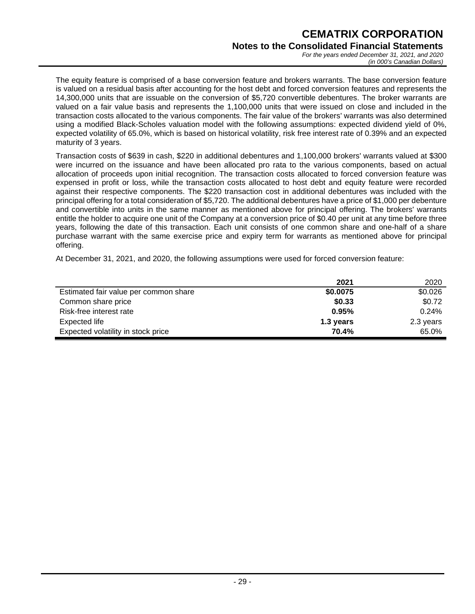# **CEMATRIX CORPORATION Notes to the Consolidated Financial Statements**

*For the years ended December 31, 2021, and 2020 (in 000's Canadian Dollars)*

The equity feature is comprised of a base conversion feature and brokers warrants. The base conversion feature is valued on a residual basis after accounting for the host debt and forced conversion features and represents the 14,300,000 units that are issuable on the conversion of \$5,720 convertible debentures. The broker warrants are valued on a fair value basis and represents the 1,100,000 units that were issued on close and included in the transaction costs allocated to the various components. The fair value of the brokers' warrants was also determined using a modified Black-Scholes valuation model with the following assumptions: expected dividend yield of 0%, expected volatility of 65.0%, which is based on historical volatility, risk free interest rate of 0.39% and an expected maturity of 3 years.

Transaction costs of \$639 in cash, \$220 in additional debentures and 1,100,000 brokers' warrants valued at \$300 were incurred on the issuance and have been allocated pro rata to the various components, based on actual allocation of proceeds upon initial recognition. The transaction costs allocated to forced conversion feature was expensed in profit or loss, while the transaction costs allocated to host debt and equity feature were recorded against their respective components. The \$220 transaction cost in additional debentures was included with the principal offering for a total consideration of \$5,720. The additional debentures have a price of \$1,000 per debenture and convertible into units in the same manner as mentioned above for principal offering. The brokers' warrants entitle the holder to acquire one unit of the Company at a conversion price of \$0.40 per unit at any time before three years, following the date of this transaction. Each unit consists of one common share and one-half of a share purchase warrant with the same exercise price and expiry term for warrants as mentioned above for principal offering.

At December 31, 2021, and 2020, the following assumptions were used for forced conversion feature:

|                                       | 2021      | 2020      |
|---------------------------------------|-----------|-----------|
| Estimated fair value per common share | \$0.0075  | \$0.026   |
| Common share price                    | \$0.33    | \$0.72    |
| Risk-free interest rate               | 0.95%     | 0.24%     |
| Expected life                         | 1.3 years | 2.3 years |
| Expected volatility in stock price    | 70.4%     | 65.0%     |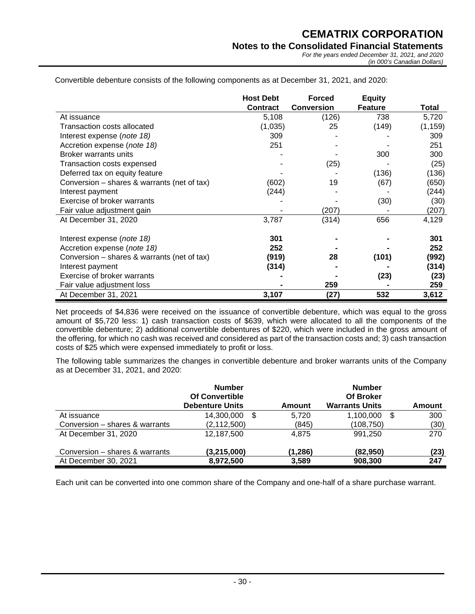|                                               | <b>Host Debt</b> | <b>Forced</b>     | <b>Equity</b>  |          |
|-----------------------------------------------|------------------|-------------------|----------------|----------|
|                                               | <b>Contract</b>  | <b>Conversion</b> | <b>Feature</b> | Total    |
| At issuance                                   | 5,108            | (126)             | 738            | 5,720    |
| Transaction costs allocated                   | (1,035)          | 25                | (149)          | (1, 159) |
| Interest expense (note 18)                    | 309              |                   |                | 309      |
| Accretion expense (note 18)                   | 251              |                   |                | 251      |
| Broker warrants units                         |                  |                   | 300            | 300      |
| Transaction costs expensed                    |                  | (25)              |                | (25)     |
| Deferred tax on equity feature                |                  |                   | (136)          | (136)    |
| Conversion - shares & warrants (net of tax)   | (602)            | 19                | (67)           | (650)    |
| Interest payment                              | (244)            |                   |                | (244)    |
| Exercise of broker warrants                   |                  |                   | (30)           | (30)     |
| Fair value adjustment gain                    |                  | (207)             |                | (207)    |
| At December 31, 2020                          | 3,787            | (314)             | 656            | 4,129    |
| Interest expense (note 18)                    | 301              |                   |                | 301      |
| Accretion expense (note 18)                   | 252              |                   |                | 252      |
| Conversion $-$ shares & warrants (net of tax) | (919)            | 28                | (101)          | (992)    |
| Interest payment                              | (314)            |                   |                | (314)    |
| Exercise of broker warrants                   |                  |                   | (23)           | (23)     |
| Fair value adjustment loss                    |                  | 259               |                | 259      |
| At December 31, 2021                          | 3,107            | (27)              | 532            | 3,612    |

Convertible debenture consists of the following components as at December 31, 2021, and 2020:

Net proceeds of \$4,836 were received on the issuance of convertible debenture, which was equal to the gross amount of \$5,720 less: 1) cash transaction costs of \$639, which were allocated to all the components of the convertible debenture; 2) additional convertible debentures of \$220, which were included in the gross amount of the offering, for which no cash was received and considered as part of the transaction costs and; 3) cash transaction costs of \$25 which were expensed immediately to profit or loss.

The following table summarizes the changes in convertible debenture and broker warrants units of the Company as at December 31, 2021, and 2020:

|                                | <b>Number</b><br><b>Of Convertible</b><br><b>Debenture Units</b> | Amount  | <b>Number</b><br><b>Of Broker</b><br><b>Warrants Units</b> | Amount |
|--------------------------------|------------------------------------------------------------------|---------|------------------------------------------------------------|--------|
| At issuance                    | 14,300,000<br>S                                                  | 5.720   | 1.100.000<br>S                                             | 300    |
| Conversion - shares & warrants | (2, 112, 500)                                                    | (845)   | (108,750)                                                  | (30)   |
| At December 31, 2020           | 12,187,500                                                       | 4.875   | 991.250                                                    | 270    |
| Conversion – shares & warrants | (3,215,000)                                                      | (1,286) | (82,950)                                                   | (23)   |
| At December 30, 2021           | 8,972,500                                                        | 3.589   | 908.300                                                    | 247    |

Each unit can be converted into one common share of the Company and one-half of a share purchase warrant.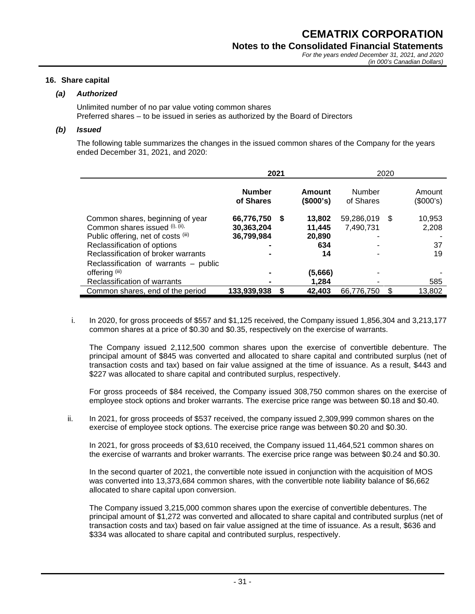#### **16. Share capital**

## *(a) Authorized*

Unlimited number of no par value voting common shares Preferred shares – to be issued in series as authorized by the Board of Directors

#### *(b) Issued*

The following table summarizes the changes in the issued common shares of the Company for the years ended December 31, 2021, and 2020:

|                                       | 2021                       |   | 2020                |                     |      |                     |
|---------------------------------------|----------------------------|---|---------------------|---------------------|------|---------------------|
|                                       | <b>Number</b><br>of Shares |   | Amount<br>(\$000's) | Number<br>of Shares |      | Amount<br>(\$000's) |
| Common shares, beginning of year      | 66,776,750                 | 5 | 13,802              | 59,286,019          | - \$ | 10,953              |
| Common shares issued (i), (ii),       | 30,363,204                 |   | 11.445              | 7,490,731           |      | 2,208               |
| Public offering, net of costs (iii)   | 36,799,984                 |   | 20,890              |                     |      |                     |
| Reclassification of options           |                            |   | 634                 |                     |      | 37                  |
| Reclassification of broker warrants   |                            |   | 14                  |                     |      | 19                  |
| Reclassification of warrants - public |                            |   |                     |                     |      |                     |
| offering (iii)                        |                            |   | (5,666)             |                     |      |                     |
| Reclassification of warrants          |                            |   | 1.284               |                     |      | 585                 |
| Common shares, end of the period      | 133,939,938                |   | 42,403              | 66,776,750          |      | 13,802              |

i. In 2020, for gross proceeds of \$557 and \$1,125 received, the Company issued 1,856,304 and 3,213,177 common shares at a price of \$0.30 and \$0.35, respectively on the exercise of warrants.

The Company issued 2,112,500 common shares upon the exercise of convertible debenture. The principal amount of \$845 was converted and allocated to share capital and contributed surplus (net of transaction costs and tax) based on fair value assigned at the time of issuance. As a result, \$443 and \$227 was allocated to share capital and contributed surplus, respectively.

For gross proceeds of \$84 received, the Company issued 308,750 common shares on the exercise of employee stock options and broker warrants. The exercise price range was between \$0.18 and \$0.40.

ii. In 2021, for gross proceeds of \$537 received, the company issued 2,309,999 common shares on the exercise of employee stock options. The exercise price range was between \$0.20 and \$0.30.

In 2021, for gross proceeds of \$3,610 received, the Company issued 11,464,521 common shares on the exercise of warrants and broker warrants. The exercise price range was between \$0.24 and \$0.30.

In the second quarter of 2021, the convertible note issued in conjunction with the acquisition of MOS was converted into 13,373,684 common shares, with the convertible note liability balance of \$6,662 allocated to share capital upon conversion.

The Company issued 3,215,000 common shares upon the exercise of convertible debentures. The principal amount of \$1,272 was converted and allocated to share capital and contributed surplus (net of transaction costs and tax) based on fair value assigned at the time of issuance. As a result, \$636 and \$334 was allocated to share capital and contributed surplus, respectively.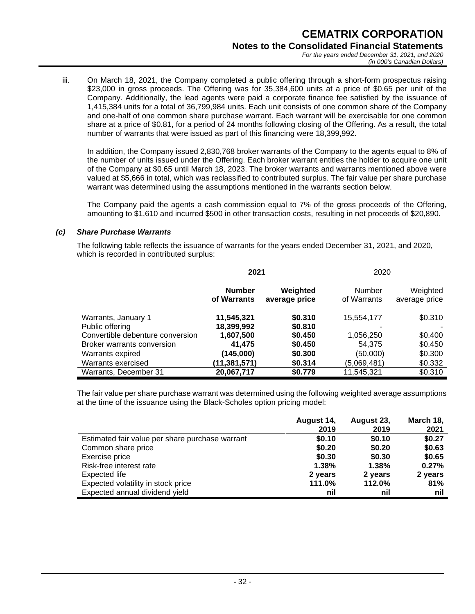*(in 000's Canadian Dollars)*

iii. On March 18, 2021, the Company completed a public offering through a short-form prospectus raising \$23,000 in gross proceeds. The Offering was for 35,384,600 units at a price of \$0.65 per unit of the Company. Additionally, the lead agents were paid a corporate finance fee satisfied by the issuance of 1,415,384 units for a total of 36,799,984 units. Each unit consists of one common share of the Company and one-half of one common share purchase warrant. Each warrant will be exercisable for one common share at a price of \$0.81, for a period of 24 months following closing of the Offering. As a result, the total number of warrants that were issued as part of this financing were 18,399,992.

In addition, the Company issued 2,830,768 broker warrants of the Company to the agents equal to 8% of the number of units issued under the Offering. Each broker warrant entitles the holder to acquire one unit of the Company at \$0.65 until March 18, 2023. The broker warrants and warrants mentioned above were valued at \$5,666 in total, which was reclassified to contributed surplus. The fair value per share purchase warrant was determined using the assumptions mentioned in the warrants section below.

The Company paid the agents a cash commission equal to 7% of the gross proceeds of the Offering, amounting to \$1,610 and incurred \$500 in other transaction costs, resulting in net proceeds of \$20,890.

## *(c) Share Purchase Warrants*

The following table reflects the issuance of warrants for the years ended December 31, 2021, and 2020, which is recorded in contributed surplus:

|                                  | 2021                         |                           | 2020                  |                           |  |
|----------------------------------|------------------------------|---------------------------|-----------------------|---------------------------|--|
|                                  | <b>Number</b><br>of Warrants | Weighted<br>average price | Number<br>of Warrants | Weighted<br>average price |  |
| Warrants, January 1              | 11,545,321                   | \$0.310                   | 15,554,177            | \$0.310                   |  |
| Public offering                  | 18,399,992                   | \$0.810                   |                       |                           |  |
| Convertible debenture conversion | 1,607,500                    | \$0.450                   | 1,056,250             | \$0.400                   |  |
| Broker warrants conversion       | 41.475                       | \$0.450                   | 54.375                | \$0.450                   |  |
| Warrants expired                 | (145,000)                    | \$0.300                   | (50,000)              | \$0.300                   |  |
| Warrants exercised               | (11,381,571)                 | \$0.314                   | (5,069,481)           | \$0.332                   |  |
| Warrants, December 31            | 20,067,717                   | \$0.779                   | 11,545,321            | \$0.310                   |  |

The fair value per share purchase warrant was determined using the following weighted average assumptions at the time of the issuance using the Black-Scholes option pricing model:

|                                                 | August 14, | August 23, | March 18, |
|-------------------------------------------------|------------|------------|-----------|
|                                                 | 2019       | 2019       | 2021      |
| Estimated fair value per share purchase warrant | \$0.10     | \$0.10     | \$0.27    |
| Common share price                              | \$0.20     | \$0.20     | \$0.63    |
| Exercise price                                  | \$0.30     | \$0.30     | \$0.65    |
| Risk-free interest rate                         | 1.38%      | 1.38%      | 0.27%     |
| Expected life                                   | 2 years    | 2 years    | 2 years   |
| Expected volatility in stock price              | 111.0%     | 112.0%     | 81%       |
| Expected annual dividend yield                  | nil        | nil        | nil       |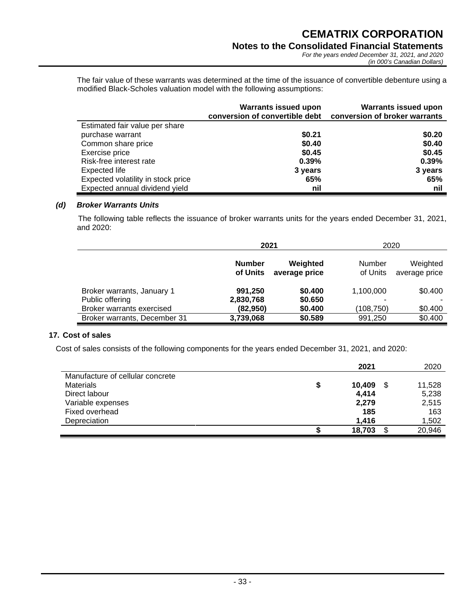The fair value of these warrants was determined at the time of the issuance of convertible debenture using a modified Black-Scholes valuation model with the following assumptions:

|                                    | <b>Warrants issued upon</b><br>conversion of convertible debt conversion of broker warrants | <b>Warrants issued upon</b> |
|------------------------------------|---------------------------------------------------------------------------------------------|-----------------------------|
| Estimated fair value per share     |                                                                                             |                             |
| purchase warrant                   | \$0.21                                                                                      | \$0.20                      |
| Common share price                 | \$0.40                                                                                      | \$0.40                      |
| Exercise price                     | \$0.45                                                                                      | \$0.45                      |
| Risk-free interest rate            | 0.39%                                                                                       | 0.39%                       |
| Expected life                      | 3 years                                                                                     | 3 years                     |
| Expected volatility in stock price | 65%                                                                                         | 65%                         |
| Expected annual dividend yield     | nil                                                                                         | nil                         |

#### *(d) Broker Warrants Units*

The following table reflects the issuance of broker warrants units for the years ended December 31, 2021, and 2020:

|                                              |                           | 2021                      | 2020               |                           |
|----------------------------------------------|---------------------------|---------------------------|--------------------|---------------------------|
|                                              | <b>Number</b><br>of Units | Weighted<br>average price | Number<br>of Units | Weighted<br>average price |
| Broker warrants, January 1                   | 991.250                   | \$0.400                   | 1,100,000          | \$0.400                   |
| Public offering<br>Broker warrants exercised | 2,830,768<br>(82,950)     | \$0.650<br>\$0.400        | -<br>(108,750)     | \$0.400                   |
| Broker warrants, December 31                 | 3,739,068                 | \$0.589                   | 991,250            | \$0.400                   |

## **17. Cost of sales**

Cost of sales consists of the following components for the years ended December 31, 2021, and 2020:

|                                  |   | 2021   | 2020   |
|----------------------------------|---|--------|--------|
| Manufacture of cellular concrete |   |        |        |
| <b>Materials</b>                 | S | 10,409 | 11,528 |
| Direct labour                    |   | 4,414  | 5,238  |
| Variable expenses                |   | 2,279  | 2,515  |
| Fixed overhead                   |   | 185    | 163    |
| Depreciation                     |   | 1.416  | 1,502  |
|                                  |   | 18,703 | 20,946 |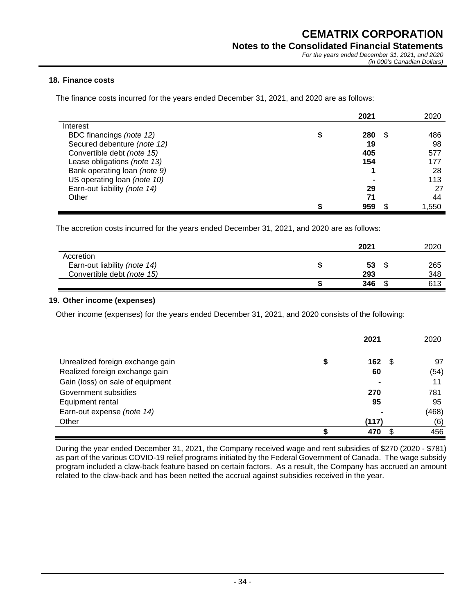#### **18. Finance costs**

The finance costs incurred for the years ended December 31, 2021, and 2020 are as follows:

|                              |   | 2021 | 2020 |
|------------------------------|---|------|------|
| Interest                     |   |      |      |
| BDC financings (note 12)     | S | 280  | 486  |
| Secured debenture (note 12)  |   | 19   | 98   |
| Convertible debt (note 15)   |   | 405  | 577  |
| Lease obligations (note 13)  |   | 154  | 177  |
| Bank operating loan (note 9) |   |      | 28   |
| US operating loan (note 10)  |   |      | 113  |
| Earn-out liability (note 14) |   | 29   | 27   |
| Other                        |   | 71   | 44   |
|                              |   | 959  | .550 |

The accretion costs incurred for the years ended December 31, 2021, and 2020 are as follows:

|                              | 2021 |    | 2020 |
|------------------------------|------|----|------|
| Accretion                    |      |    |      |
| Earn-out liability (note 14) |      | 53 | 265  |
| Convertible debt (note 15)   | 293  |    | 348  |
|                              | 346  | œ  | 613  |

## **19. Other income (expenses)**

Other income (expenses) for the years ended December 31, 2021, and 2020 consists of the following:

|                                  |   | 2021      | 2020  |
|----------------------------------|---|-----------|-------|
|                                  |   |           |       |
| Unrealized foreign exchange gain | D | 162<br>36 | 97    |
| Realized foreign exchange gain   |   | 60        | (54)  |
| Gain (loss) on sale of equipment |   |           | 11    |
| Government subsidies             |   | 270       | 781   |
| Equipment rental                 |   | 95        | 95    |
| Earn-out expense (note 14)       |   |           | (468) |
| Other                            |   | (117)     | (6)   |
|                                  |   | 470       | 456   |

During the year ended December 31, 2021, the Company received wage and rent subsidies of \$270 (2020 - \$781) as part of the various COVID-19 relief programs initiated by the Federal Government of Canada. The wage subsidy program included a claw-back feature based on certain factors. As a result, the Company has accrued an amount related to the claw-back and has been netted the accrual against subsidies received in the year.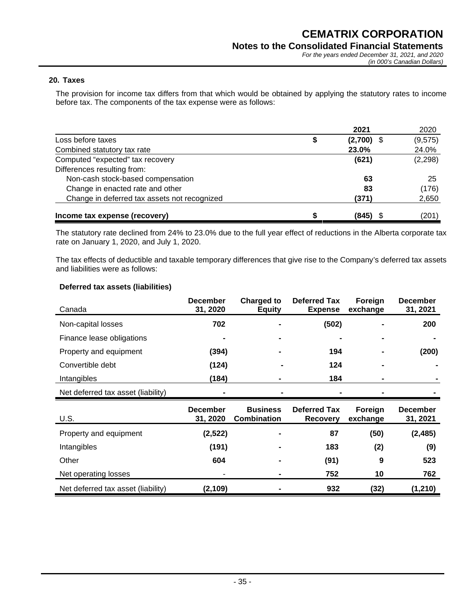#### **20. Taxes**

 The provision for income tax differs from that which would be obtained by applying the statutory rates to income before tax. The components of the tax expense were as follows:

|                                              |   | 2021         | 2020     |
|----------------------------------------------|---|--------------|----------|
| Loss before taxes                            | S | $(2,700)$ \$ | (9, 575) |
| Combined statutory tax rate                  |   | 23.0%        | 24.0%    |
| Computed "expected" tax recovery             |   | (621)        | (2, 298) |
| Differences resulting from:                  |   |              |          |
| Non-cash stock-based compensation            |   | 63           | 25       |
| Change in enacted rate and other             |   | 83           | (176)    |
| Change in deferred tax assets not recognized |   | (371)        | 2,650    |
| Income tax expense (recovery)                | S | (845)        | (201)    |

The statutory rate declined from 24% to 23.0% due to the full year effect of reductions in the Alberta corporate tax rate on January 1, 2020, and July 1, 2020.

The tax effects of deductible and taxable temporary differences that give rise to the Company's deferred tax assets and liabilities were as follows:

#### **Deferred tax assets (liabilities)**

| Canada                             | <b>December</b><br>31, 2020 | <b>Charged to</b><br><b>Equity</b>    | <b>Deferred Tax</b><br><b>Expense</b>  | Foreign<br>exchange | <b>December</b><br>31, 2021 |
|------------------------------------|-----------------------------|---------------------------------------|----------------------------------------|---------------------|-----------------------------|
| Non-capital losses                 | 702                         |                                       | (502)                                  |                     | 200                         |
| Finance lease obligations          |                             |                                       |                                        |                     |                             |
| Property and equipment             | (394)                       |                                       | 194                                    |                     | (200)                       |
| Convertible debt                   | (124)                       |                                       | 124                                    |                     |                             |
| Intangibles                        | (184)                       |                                       | 184                                    |                     |                             |
| Net deferred tax asset (liability) |                             |                                       |                                        |                     |                             |
|                                    |                             |                                       |                                        |                     |                             |
| U.S.                               | <b>December</b><br>31, 2020 | <b>Business</b><br><b>Combination</b> | <b>Deferred Tax</b><br><b>Recovery</b> | Foreign<br>exchange | <b>December</b><br>31, 2021 |
| Property and equipment             | (2,522)                     |                                       | 87                                     | (50)                | (2, 485)                    |
| Intangibles                        | (191)                       |                                       | 183                                    | (2)                 | (9)                         |
| Other                              | 604                         |                                       | (91)                                   | 9                   | 523                         |
| Net operating losses               |                             |                                       | 752                                    | 10                  | 762                         |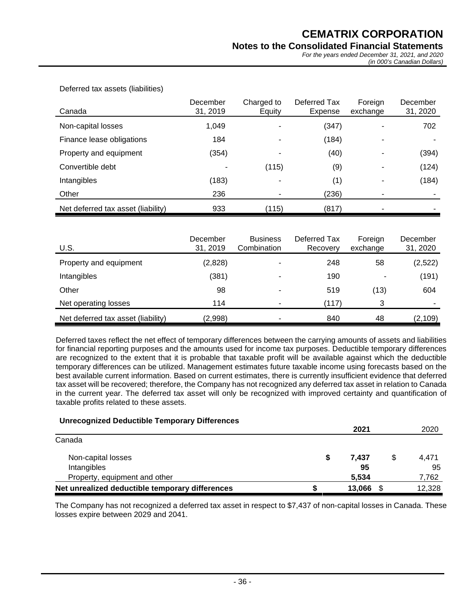## **Notes to the Consolidated Financial Statements**

*For the years ended December 31, 2021, and 2020 (in 000's Canadian Dollars)*

| Canada                             | December<br>31, 2019 | Charged to<br>Equity | Deferred Tax<br>Expense | Foreign<br>exchange | December<br>31, 2020 |
|------------------------------------|----------------------|----------------------|-------------------------|---------------------|----------------------|
| Non-capital losses                 | 1,049                | ۰                    | (347)                   | ۰                   | 702                  |
| Finance lease obligations          | 184                  | -                    | (184)                   | -                   |                      |
| Property and equipment             | (354)                |                      | (40)                    | ۰                   | (394)                |
| Convertible debt                   |                      | (115)                | (9)                     | ۰                   | (124)                |
| Intangibles                        | (183)                |                      | (1)                     |                     | (184)                |
| Other                              | 236                  |                      | (236)                   |                     |                      |
| Net deferred tax asset (liability) | 933                  | (115)                | (817)                   | ۰                   |                      |

Deferred tax assets (liabilities)

| U.S.                               | December<br>31, 2019 | <b>Business</b><br>Combination | Deferred Tax<br>Recovery | Foreign<br>exchange | December<br>31, 2020 |
|------------------------------------|----------------------|--------------------------------|--------------------------|---------------------|----------------------|
| Property and equipment             | (2,828)              | ۰                              | 248                      | 58                  | (2,522)              |
| Intangibles                        | (381)                |                                | 190                      |                     | (191)                |
| Other                              | 98                   | -                              | 519                      | (13)                | 604                  |
| Net operating losses               | 114                  | -                              | (117)                    | 3                   | ۰                    |
| Net deferred tax asset (liability) | (2,998)              |                                | 840                      | 48                  | (2, 109)             |

Deferred taxes reflect the net effect of temporary differences between the carrying amounts of assets and liabilities for financial reporting purposes and the amounts used for income tax purposes. Deductible temporary differences are recognized to the extent that it is probable that taxable profit will be available against which the deductible temporary differences can be utilized. Management estimates future taxable income using forecasts based on the best available current information. Based on current estimates, there is currently insufficient evidence that deferred tax asset will be recovered; therefore, the Company has not recognized any deferred tax asset in relation to Canada in the current year. The deferred tax asset will only be recognized with improved certainty and quantification of taxable profits related to these assets.

| <b>Unrecognized Deductible Temporary Differences</b> |   |        |        |
|------------------------------------------------------|---|--------|--------|
|                                                      |   | 2021   | 2020   |
| Canada                                               |   |        |        |
| Non-capital losses                                   | S | 7.437  | 4.471  |
| Intangibles                                          |   | 95     | 95     |
| Property, equipment and other                        |   | 5.534  | 7,762  |
| Net unrealized deductible temporary differences      |   | 13.066 | 12,328 |

The Company has not recognized a deferred tax asset in respect to \$7,437 of non-capital losses in Canada. These losses expire between 2029 and 2041.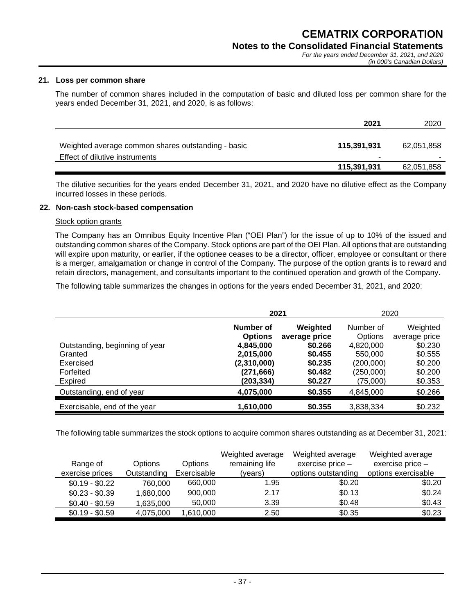#### **21. Loss per common share**

The number of common shares included in the computation of basic and diluted loss per common share for the years ended December 31, 2021, and 2020, is as follows:

|                                                    | 2021        | 2020       |
|----------------------------------------------------|-------------|------------|
|                                                    |             |            |
| Weighted average common shares outstanding - basic | 115,391,931 | 62,051,858 |
| Effect of dilutive instruments                     | -           |            |
|                                                    | 115,391,931 | 62,051,858 |

The dilutive securities for the years ended December 31, 2021, and 2020 have no dilutive effect as the Company incurred losses in these periods.

## **22. Non-cash stock-based compensation**

#### Stock option grants

The Company has an Omnibus Equity Incentive Plan ("OEI Plan") for the issue of up to 10% of the issued and outstanding common shares of the Company. Stock options are part of the OEI Plan. All options that are outstanding will expire upon maturity, or earlier, if the optionee ceases to be a director, officer, employee or consultant or there is a merger, amalgamation or change in control of the Company. The purpose of the option grants is to reward and retain directors, management, and consultants important to the continued operation and growth of the Company.

The following table summarizes the changes in options for the years ended December 31, 2021, and 2020:

|                                |                | 2021          | 2020      |               |  |
|--------------------------------|----------------|---------------|-----------|---------------|--|
|                                | Number of      | Weighted      | Number of | Weighted      |  |
|                                | <b>Options</b> | average price | Options   | average price |  |
| Outstanding, beginning of year | 4,845,000      | \$0.266       | 4,820,000 | \$0.230       |  |
| Granted                        | 2,015,000      | \$0.455       | 550,000   | \$0.555       |  |
| Exercised                      | (2,310,000)    | \$0.235       | (200,000) | \$0.200       |  |
| Forfeited                      | (271, 666)     | \$0.482       | (250,000) | \$0.200       |  |
| Expired                        | (203, 334)     | \$0.227       | (75,000)  | \$0.353       |  |
| Outstanding, end of year       | 4,075,000      | \$0.355       | 4.845.000 | \$0.266       |  |
| Exercisable, end of the year   | 1,610,000      | \$0.355       | 3,838,334 | \$0.232       |  |

The following table summarizes the stock options to acquire common shares outstanding as at December 31, 2021:

| Range of<br>exercise prices | Options<br>Outstanding | Options<br>Exercisable | Weighted average<br>remaining life<br>(vears) | Weighted average<br>exercise price -<br>options outstanding | Weighted average<br>exercise price -<br>options exercisable |
|-----------------------------|------------------------|------------------------|-----------------------------------------------|-------------------------------------------------------------|-------------------------------------------------------------|
| $$0.19 - $0.22$             | 760,000                | 660,000                | 1.95                                          | \$0.20                                                      | \$0.20                                                      |
| $$0.23 - $0.39$             | 1,680,000              | 900,000                | 2.17                                          | \$0.13                                                      | \$0.24                                                      |
| $$0.40 - $0.59$             | 1,635,000              | 50,000                 | 3.39                                          | \$0.48                                                      | \$0.43                                                      |
| $$0.19 - $0.59$             | 4,075,000              | 1.610.000              | 2.50                                          | \$0.35                                                      | \$0.23                                                      |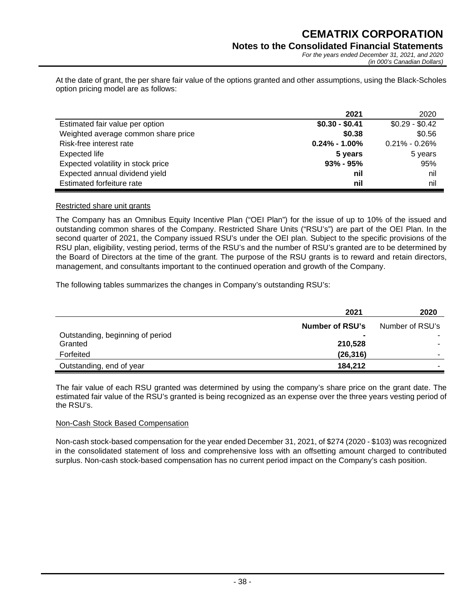*(in 000's Canadian Dollars)*

At the date of grant, the per share fair value of the options granted and other assumptions, using the Black-Scholes option pricing model are as follows:

|                                     | 2021             | 2020              |
|-------------------------------------|------------------|-------------------|
| Estimated fair value per option     | $$0.30 - $0.41$  | $$0.29 - $0.42$   |
| Weighted average common share price | \$0.38           | \$0.56            |
| Risk-free interest rate             | $0.24\%$ - 1.00% | $0.21\% - 0.26\%$ |
| Expected life                       | 5 years          | 5 years           |
| Expected volatility in stock price  | $93\% - 95\%$    | 95%               |
| Expected annual dividend yield      | nil              | nil               |
| Estimated forfeiture rate           | nil              | nil               |

#### Restricted share unit grants

The Company has an Omnibus Equity Incentive Plan ("OEI Plan") for the issue of up to 10% of the issued and outstanding common shares of the Company. Restricted Share Units ("RSU's") are part of the OEI Plan. In the second quarter of 2021, the Company issued RSU's under the OEI plan. Subject to the specific provisions of the RSU plan, eligibility, vesting period, terms of the RSU's and the number of RSU's granted are to be determined by the Board of Directors at the time of the grant. The purpose of the RSU grants is to reward and retain directors, management, and consultants important to the continued operation and growth of the Company.

The following tables summarizes the changes in Company's outstanding RSU's:

|                                  | 2021                   | 2020                     |
|----------------------------------|------------------------|--------------------------|
|                                  | <b>Number of RSU's</b> | Number of RSU's          |
| Outstanding, beginning of period |                        | ۰                        |
| Granted                          | 210,528                | -                        |
| Forfeited                        | (26, 316)              | $\overline{\phantom{a}}$ |
| Outstanding, end of year         | 184,212                |                          |

The fair value of each RSU granted was determined by using the company's share price on the grant date. The estimated fair value of the RSU's granted is being recognized as an expense over the three years vesting period of the RSU's.

## Non-Cash Stock Based Compensation

Non-cash stock-based compensation for the year ended December 31, 2021, of \$274 (2020 - \$103) was recognized in the consolidated statement of loss and comprehensive loss with an offsetting amount charged to contributed surplus. Non-cash stock-based compensation has no current period impact on the Company's cash position.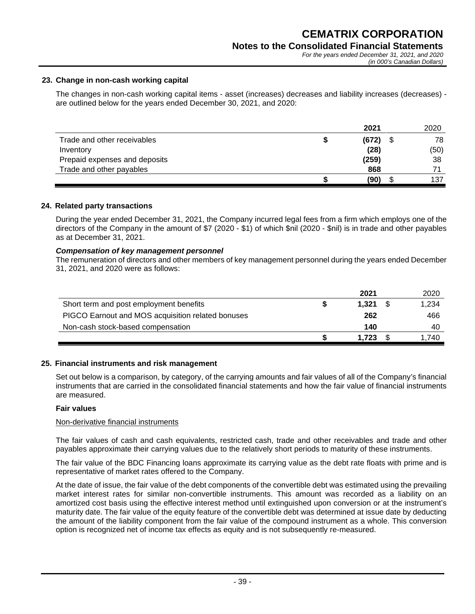#### **23. Change in non-cash working capital**

The changes in non-cash working capital items - asset (increases) decreases and liability increases (decreases) are outlined below for the years ended December 30, 2021, and 2020:

|                               | 2021  | 2020 |
|-------------------------------|-------|------|
| Trade and other receivables   | (672) | 78   |
| Inventory                     | (28)  | (50) |
| Prepaid expenses and deposits | (259) | 38   |
| Trade and other payables      | 868   |      |
|                               | (90)  | 137  |

#### **24. Related party transactions**

During the year ended December 31, 2021, the Company incurred legal fees from a firm which employs one of the directors of the Company in the amount of \$7 (2020 - \$1) of which \$nil (2020 - \$nil) is in trade and other payables as at December 31, 2021.

#### *Compensation of key management personnel*

The remuneration of directors and other members of key management personnel during the years ended December 31, 2021, and 2020 were as follows:

|                                                   | 2021  | 2020  |
|---------------------------------------------------|-------|-------|
| Short term and post employment benefits           | 1,321 | 1.234 |
| PIGCO Earnout and MOS acquisition related bonuses | 262   | 466   |
| Non-cash stock-based compensation                 | 140   | 40    |
|                                                   | 1.723 | 1.740 |

## **25. Financial instruments and risk management**

Set out below is a comparison, by category, of the carrying amounts and fair values of all of the Company's financial instruments that are carried in the consolidated financial statements and how the fair value of financial instruments are measured.

#### **Fair values**

## Non-derivative financial instruments

The fair values of cash and cash equivalents, restricted cash, trade and other receivables and trade and other payables approximate their carrying values due to the relatively short periods to maturity of these instruments.

The fair value of the BDC Financing loans approximate its carrying value as the debt rate floats with prime and is representative of market rates offered to the Company.

At the date of issue, the fair value of the debt components of the convertible debt was estimated using the prevailing market interest rates for similar non-convertible instruments. This amount was recorded as a liability on an amortized cost basis using the effective interest method until extinguished upon conversion or at the instrument's maturity date. The fair value of the equity feature of the convertible debt was determined at issue date by deducting the amount of the liability component from the fair value of the compound instrument as a whole. This conversion option is recognized net of income tax effects as equity and is not subsequently re-measured.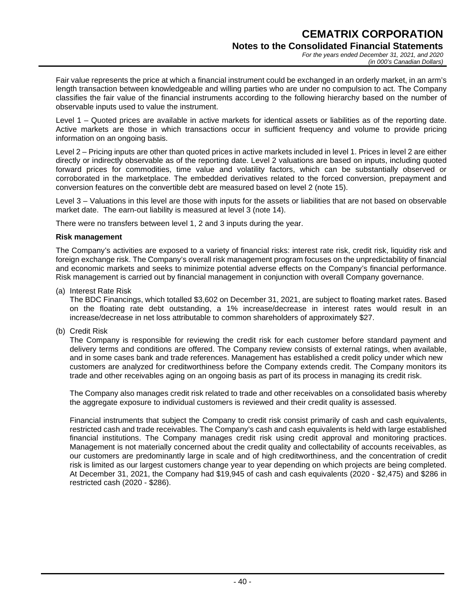Fair value represents the price at which a financial instrument could be exchanged in an orderly market, in an arm's length transaction between knowledgeable and willing parties who are under no compulsion to act. The Company classifies the fair value of the financial instruments according to the following hierarchy based on the number of observable inputs used to value the instrument.

Level 1 – Quoted prices are available in active markets for identical assets or liabilities as of the reporting date. Active markets are those in which transactions occur in sufficient frequency and volume to provide pricing information on an ongoing basis.

Level 2 – Pricing inputs are other than quoted prices in active markets included in level 1. Prices in level 2 are either directly or indirectly observable as of the reporting date. Level 2 valuations are based on inputs, including quoted forward prices for commodities, time value and volatility factors, which can be substantially observed or corroborated in the marketplace. The embedded derivatives related to the forced conversion, prepayment and conversion features on the convertible debt are measured based on level 2 (note 15).

Level 3 – Valuations in this level are those with inputs for the assets or liabilities that are not based on observable market date. The earn-out liability is measured at level 3 (note 14).

There were no transfers between level 1, 2 and 3 inputs during the year.

#### **Risk management**

The Company's activities are exposed to a variety of financial risks: interest rate risk, credit risk, liquidity risk and foreign exchange risk. The Company's overall risk management program focuses on the unpredictability of financial and economic markets and seeks to minimize potential adverse effects on the Company's financial performance. Risk management is carried out by financial management in conjunction with overall Company governance.

(a) Interest Rate Risk

The BDC Financings, which totalled \$3,602 on December 31, 2021, are subject to floating market rates. Based on the floating rate debt outstanding, a 1% increase/decrease in interest rates would result in an increase/decrease in net loss attributable to common shareholders of approximately \$27.

(b) Credit Risk

The Company is responsible for reviewing the credit risk for each customer before standard payment and delivery terms and conditions are offered. The Company review consists of external ratings, when available, and in some cases bank and trade references. Management has established a credit policy under which new customers are analyzed for creditworthiness before the Company extends credit. The Company monitors its trade and other receivables aging on an ongoing basis as part of its process in managing its credit risk.

The Company also manages credit risk related to trade and other receivables on a consolidated basis whereby the aggregate exposure to individual customers is reviewed and their credit quality is assessed.

Financial instruments that subject the Company to credit risk consist primarily of cash and cash equivalents, restricted cash and trade receivables. The Company's cash and cash equivalents is held with large established financial institutions. The Company manages credit risk using credit approval and monitoring practices. Management is not materially concerned about the credit quality and collectability of accounts receivables, as our customers are predominantly large in scale and of high creditworthiness, and the concentration of credit risk is limited as our largest customers change year to year depending on which projects are being completed. At December 31, 2021, the Company had \$19,945 of cash and cash equivalents (2020 - \$2,475) and \$286 in restricted cash (2020 - \$286).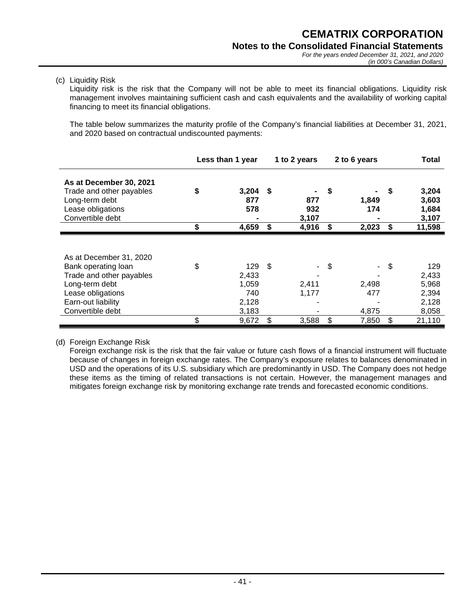(c) Liquidity Risk

Liquidity risk is the risk that the Company will not be able to meet its financial obligations. Liquidity risk management involves maintaining sufficient cash and cash equivalents and the availability of working capital financing to meet its financial obligations.

The table below summarizes the maturity profile of the Company's financial liabilities at December 31, 2021, and 2020 based on contractual undiscounted payments:

|                          | Less than 1 year |      | 1 to 2 years |     | 2 to 6 years |      | Total  |
|--------------------------|------------------|------|--------------|-----|--------------|------|--------|
| As at December 30, 2021  |                  |      |              |     |              |      |        |
| Trade and other payables | \$<br>3,204      | - \$ |              | \$  |              | S    | 3,204  |
| Long-term debt           | 877              |      | 877          |     | 1,849        |      | 3,603  |
| Lease obligations        | 578              |      | 932          |     | 174          |      | 1,684  |
| Convertible debt         |                  |      | 3,107        |     |              |      | 3,107  |
|                          | \$<br>4,659      | \$   | 4,916        | \$  | 2,023        | - \$ | 11,598 |
| As at December 31, 2020  |                  |      |              |     |              |      |        |
| Bank operating loan      | \$<br>129        | \$   |              | -\$ |              | \$   | 129    |
| Trade and other payables | 2,433            |      |              |     |              |      | 2,433  |
| Long-term debt           | 1,059            |      | 2,411        |     | 2,498        |      | 5,968  |
| Lease obligations        | 740              |      | 1,177        |     | 477          |      | 2,394  |
| Earn-out liability       | 2,128            |      |              |     |              |      | 2,128  |
| Convertible debt         | 3,183            |      |              |     | 4,875        |      | 8,058  |
|                          | \$<br>9,672      | S    | 3,588        | \$  | 7,850        | \$   | 21,110 |

## (d) Foreign Exchange Risk

Foreign exchange risk is the risk that the fair value or future cash flows of a financial instrument will fluctuate because of changes in foreign exchange rates. The Company's exposure relates to balances denominated in USD and the operations of its U.S. subsidiary which are predominantly in USD. The Company does not hedge these items as the timing of related transactions is not certain. However, the management manages and mitigates foreign exchange risk by monitoring exchange rate trends and forecasted economic conditions.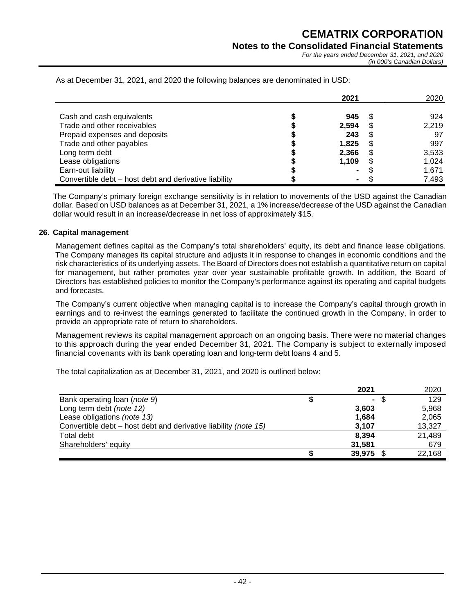|                                                       | 2021           |   | 2020  |
|-------------------------------------------------------|----------------|---|-------|
|                                                       |                |   |       |
| Cash and cash equivalents                             | 945            |   | 924   |
| Trade and other receivables                           | 2,594          |   | 2,219 |
| Prepaid expenses and deposits                         | 243            | S | 97    |
| Trade and other payables                              | 1,825          | S | 997   |
| Long term debt                                        | 2,366          | S | 3,533 |
| Lease obligations                                     | 1,109          |   | 1,024 |
| Earn-out liability                                    | $\blacksquare$ |   | 1,671 |
| Convertible debt - host debt and derivative liability |                |   | 7,493 |

As at December 31, 2021, and 2020 the following balances are denominated in USD:

The Company's primary foreign exchange sensitivity is in relation to movements of the USD against the Canadian dollar. Based on USD balances as at December 31, 2021, a 1% increase/decrease of the USD against the Canadian dollar would result in an increase/decrease in net loss of approximately \$15.

#### **26. Capital management**

Management defines capital as the Company's total shareholders' equity, its debt and finance lease obligations. The Company manages its capital structure and adjusts it in response to changes in economic conditions and the risk characteristics of its underlying assets. The Board of Directors does not establish a quantitative return on capital for management, but rather promotes year over year sustainable profitable growth. In addition, the Board of Directors has established policies to monitor the Company's performance against its operating and capital budgets and forecasts.

The Company's current objective when managing capital is to increase the Company's capital through growth in earnings and to re-invest the earnings generated to facilitate the continued growth in the Company, in order to provide an appropriate rate of return to shareholders.

Management reviews its capital management approach on an ongoing basis. There were no material changes to this approach during the year ended December 31, 2021. The Company is subject to externally imposed financial covenants with its bank operating loan and long-term debt loans 4 and 5.

The total capitalization as at December 31, 2021, and 2020 is outlined below:

|                                                                 | 2021                   | 2020   |
|-----------------------------------------------------------------|------------------------|--------|
| Bank operating loan (note 9)                                    | - \$<br>$\blacksquare$ | 129    |
| Long term debt (note 12)                                        | 3.603                  | 5,968  |
| Lease obligations (note 13)                                     | 1,684                  | 2,065  |
| Convertible debt – host debt and derivative liability (note 15) | 3,107                  | 13,327 |
| Total debt                                                      | 8.394                  | 21,489 |
| Shareholders' equity                                            | 31.581                 | 679    |
|                                                                 | 39,975                 | 22,168 |